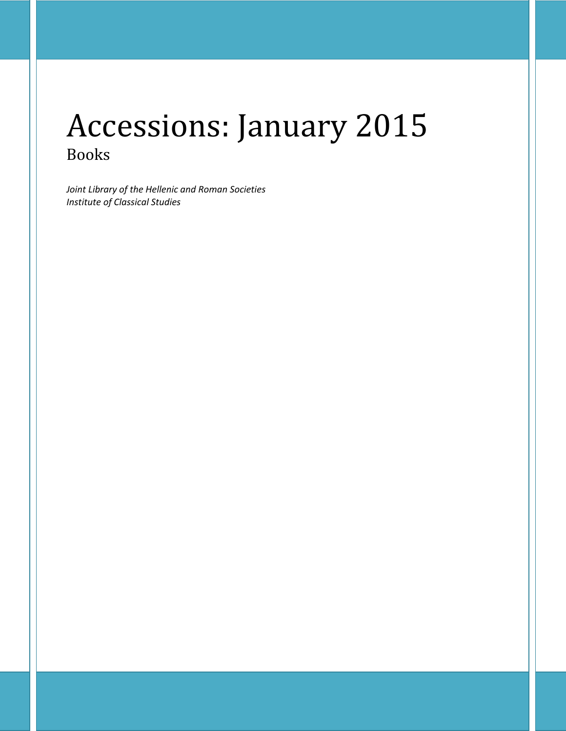# Accessions: January 2015 Books

*Joint Library of the Hellenic and Roman Societies Institute of Classical Studies*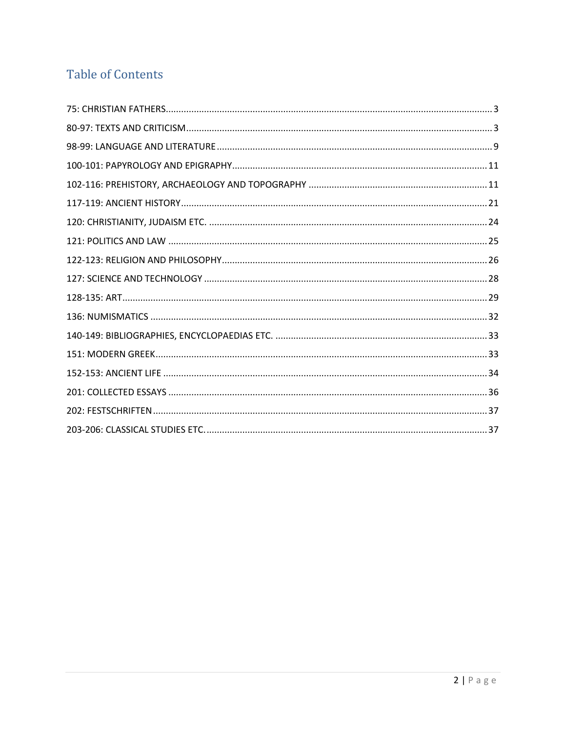# **Table of Contents**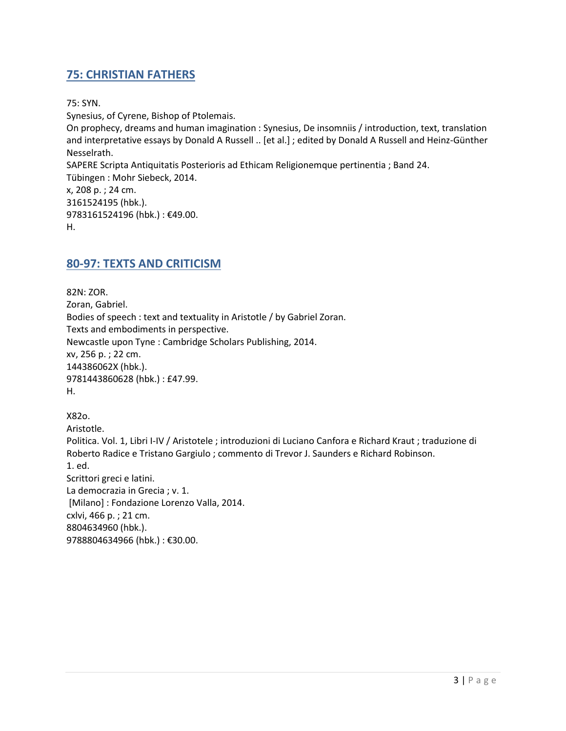# <span id="page-2-0"></span>**75: CHRISTIAN FATHERS**

75: SYN.

Synesius, of Cyrene, Bishop of Ptolemais. On prophecy, dreams and human imagination : Synesius, De insomniis / introduction, text, translation and interpretative essays by Donald A Russell .. [et al.] ; edited by Donald A Russell and Heinz-Günther Nesselrath. SAPERE Scripta Antiquitatis Posterioris ad Ethicam Religionemque pertinentia ; Band 24. Tübingen : Mohr Siebeck, 2014. x, 208 p. ; 24 cm. 3161524195 (hbk.). 9783161524196 (hbk.) : €49.00. H.

#### <span id="page-2-1"></span>**80-97: TEXTS AND CRITICISM**

82N: ZOR. Zoran, Gabriel. Bodies of speech : text and textuality in Aristotle / by Gabriel Zoran. Texts and embodiments in perspective. Newcastle upon Tyne : Cambridge Scholars Publishing, 2014. xv, 256 p. ; 22 cm. 144386062X (hbk.). 9781443860628 (hbk.) : £47.99. H.

X82o. Aristotle. Politica. Vol. 1, Libri I-IV / Aristotele ; introduzioni di Luciano Canfora e Richard Kraut ; traduzione di Roberto Radice e Tristano Gargiulo ; commento di Trevor J. Saunders e Richard Robinson. 1. ed. Scrittori greci e latini. La democrazia in Grecia ; v. 1. [Milano] : Fondazione Lorenzo Valla, 2014. cxlvi, 466 p. ; 21 cm. 8804634960 (hbk.). 9788804634966 (hbk.) : €30.00.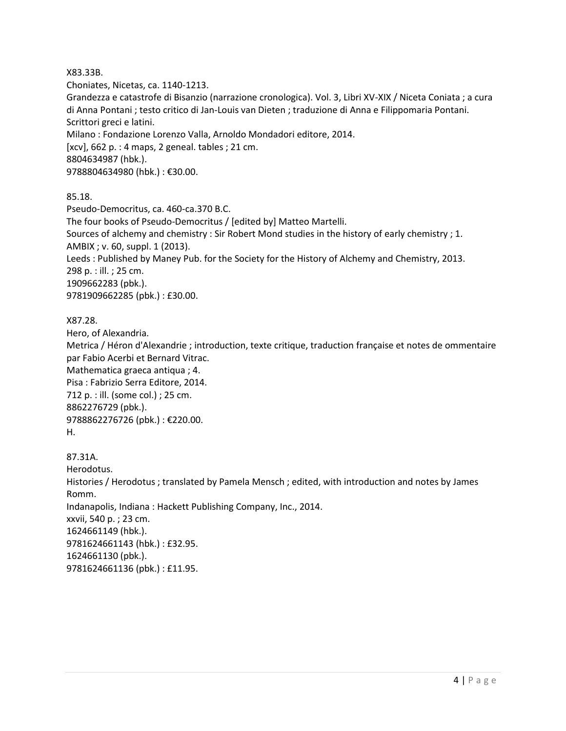#### X83.33B.

Choniates, Nicetas, ca. 1140-1213.

Grandezza e catastrofe di Bisanzio (narrazione cronologica). Vol. 3, Libri XV-XIX / Niceta Coniata ; a cura di Anna Pontani ; testo critico di Jan-Louis van Dieten ; traduzione di Anna e Filippomaria Pontani. Scrittori greci e latini. Milano : Fondazione Lorenzo Valla, Arnoldo Mondadori editore, 2014. [xcv], 662 p. : 4 maps, 2 geneal. tables ; 21 cm. 8804634987 (hbk.). 9788804634980 (hbk.) : €30.00.

85.18.

Pseudo-Democritus, ca. 460-ca.370 B.C. The four books of Pseudo-Democritus / [edited by] Matteo Martelli. Sources of alchemy and chemistry : Sir Robert Mond studies in the history of early chemistry ; 1. AMBIX ; v. 60, suppl. 1 (2013). Leeds : Published by Maney Pub. for the Society for the History of Alchemy and Chemistry, 2013. 298 p. : ill. ; 25 cm. 1909662283 (pbk.). 9781909662285 (pbk.) : £30.00.

#### X87.28.

Hero, of Alexandria. Metrica / Héron d'Alexandrie ; introduction, texte critique, traduction française et notes de ommentaire par Fabio Acerbi et Bernard Vitrac. Mathematica graeca antiqua ; 4. Pisa : Fabrizio Serra Editore, 2014. 712 p. : ill. (some col.) ; 25 cm. 8862276729 (pbk.). 9788862276726 (pbk.) : €220.00. H.

87.31A. Herodotus. Histories / Herodotus ; translated by Pamela Mensch ; edited, with introduction and notes by James Romm. Indanapolis, Indiana : Hackett Publishing Company, Inc., 2014. xxvii, 540 p. ; 23 cm. 1624661149 (hbk.). 9781624661143 (hbk.) : £32.95. 1624661130 (pbk.). 9781624661136 (pbk.) : £11.95.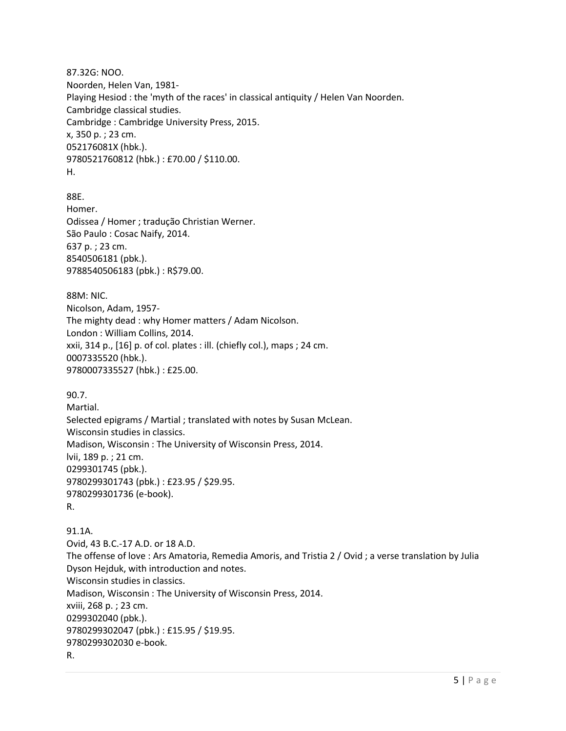87.32G: NOO. Noorden, Helen Van, 1981- Playing Hesiod : the 'myth of the races' in classical antiquity / Helen Van Noorden. Cambridge classical studies. Cambridge : Cambridge University Press, 2015. x, 350 p. ; 23 cm. 052176081X (hbk.). 9780521760812 (hbk.) : £70.00 / \$110.00. H.

88E. Homer. Odissea / Homer ; tradução Christian Werner. São Paulo : Cosac Naify, 2014. 637 p. ; 23 cm. 8540506181 (pbk.). 9788540506183 (pbk.) : R\$79.00.

88M: NIC. Nicolson, Adam, 1957- The mighty dead : why Homer matters / Adam Nicolson. London : William Collins, 2014. xxii, 314 p., [16] p. of col. plates : ill. (chiefly col.), maps ; 24 cm. 0007335520 (hbk.). 9780007335527 (hbk.) : £25.00.

90.7.

Martial. Selected epigrams / Martial ; translated with notes by Susan McLean. Wisconsin studies in classics. Madison, Wisconsin : The University of Wisconsin Press, 2014. lvii, 189 p. ; 21 cm. 0299301745 (pbk.). 9780299301743 (pbk.) : £23.95 / \$29.95. 9780299301736 (e-book). R.

91.1A. Ovid, 43 B.C.-17 A.D. or 18 A.D. The offense of love : Ars Amatoria, Remedia Amoris, and Tristia 2 / Ovid ; a verse translation by Julia Dyson Hejduk, with introduction and notes. Wisconsin studies in classics. Madison, Wisconsin : The University of Wisconsin Press, 2014. xviii, 268 p. ; 23 cm. 0299302040 (pbk.). 9780299302047 (pbk.) : £15.95 / \$19.95. 9780299302030 e-book. R.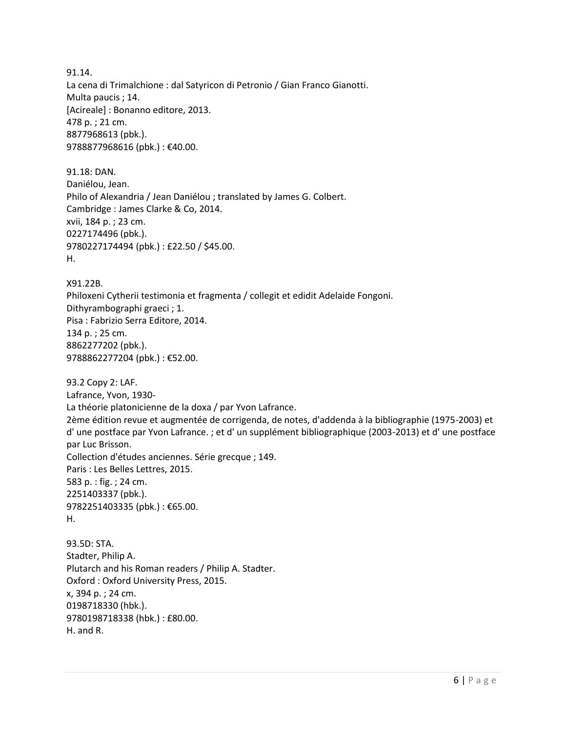91.14. La cena di Trimalchione : dal Satyricon di Petronio / Gian Franco Gianotti. Multa paucis ; 14. [Acireale] : Bonanno editore, 2013. 478 p. ; 21 cm. 8877968613 (pbk.). 9788877968616 (pbk.) : €40.00.

91.18: DAN. Daniélou, Jean. Philo of Alexandria / Jean Daniélou ; translated by James G. Colbert. Cambridge : James Clarke & Co, 2014. xvii, 184 p. ; 23 cm. 0227174496 (pbk.). 9780227174494 (pbk.) : £22.50 / \$45.00. H.

X91.22B. Philoxeni Cytherii testimonia et fragmenta / collegit et edidit Adelaide Fongoni. Dithyrambographi graeci ; 1. Pisa : Fabrizio Serra Editore, 2014. 134 p. ; 25 cm. 8862277202 (pbk.). 9788862277204 (pbk.) : €52.00.

93.2 Copy 2: LAF. Lafrance, Yvon, 1930- La théorie platonicienne de la doxa / par Yvon Lafrance. 2ème édition revue et augmentée de corrigenda, de notes, d'addenda à la bibliographie (1975-2003) et d' une postface par Yvon Lafrance. ; et d' un supplément bibliographique (2003-2013) et d' une postface par Luc Brisson. Collection d'études anciennes. Série grecque ; 149. Paris : Les Belles Lettres, 2015. 583 p. : fig. ; 24 cm. 2251403337 (pbk.). 9782251403335 (pbk.) : €65.00. H.

93.5D: STA. Stadter, Philip A. Plutarch and his Roman readers / Philip A. Stadter. Oxford : Oxford University Press, 2015. x, 394 p. ; 24 cm. 0198718330 (hbk.). 9780198718338 (hbk.) : £80.00. H. and R.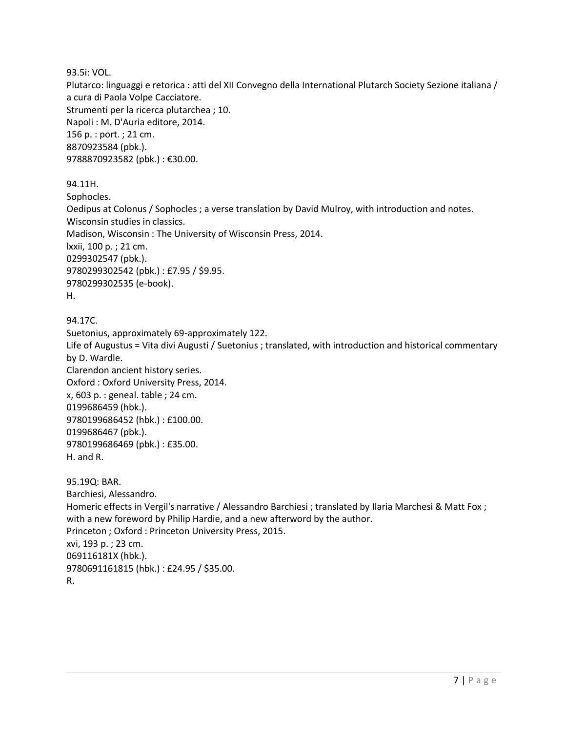93.5i: VOL.

Plutarco: linguaggi e retorica : atti del XII Convegno della International Plutarch Society Sezione italiana / a cura di Paola Volpe Cacciatore. Strumenti per la ricerca plutarchea ; 10. Napoli : M. D'Auria editore, 2014. 156 p. : port. ; 21 cm. 8870923584 (pbk.). 9788870923582 (pbk.) : €30.00.

94.11H.

Sophocles. Oedipus at Colonus / Sophocles ; a verse translation by David Mulroy, with introduction and notes. Wisconsin studies in classics. Madison, Wisconsin : The University of Wisconsin Press, 2014. lxxii, 100 p. ; 21 cm. 0299302547 (pbk.). 9780299302542 (pbk.) : £7.95 / \$9.95. 9780299302535 (e-book). H.

```
94.17C.
```
Suetonius, approximately 69-approximately 122. Life of Augustus = Vita divi Augusti / Suetonius ; translated, with introduction and historical commentary by D. Wardle. Clarendon ancient history series. Oxford : Oxford University Press, 2014. x, 603 p. : geneal. table ; 24 cm. 0199686459 (hbk.). 9780199686452 (hbk.) : £100.00. 0199686467 (pbk.). 9780199686469 (pbk.) : £35.00. H. and R. 95.19Q: BAR. Barchiesi, Alessandro. Homeric effects in Vergil's narrative / Alessandro Barchiesi ; translated by Ilaria Marchesi & Matt Fox ; with a new foreword by Philip Hardie, and a new afterword by the author.

Princeton ; Oxford : Princeton University Press, 2015. xvi, 193 p. ; 23 cm. 069116181X (hbk.).

9780691161815 (hbk.) : £24.95 / \$35.00.

```
R.
```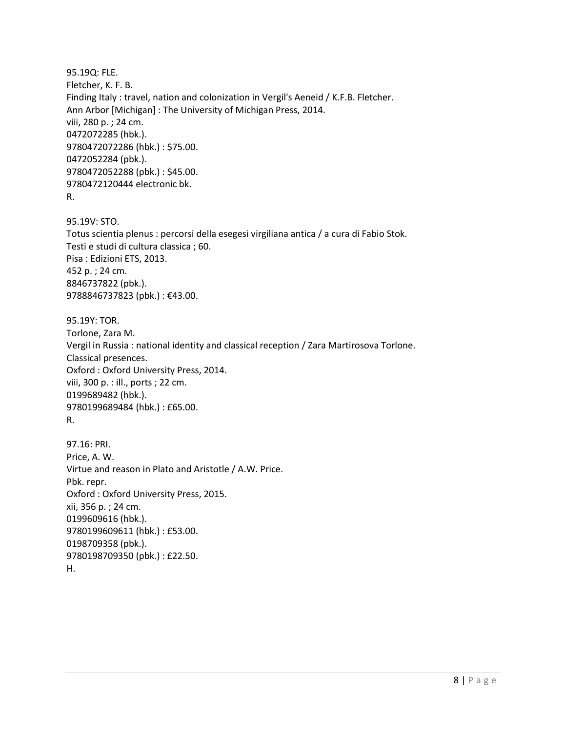95.19Q: FLE. Fletcher, K. F. B. Finding Italy : travel, nation and colonization in Vergil's Aeneid / K.F.B. Fletcher. Ann Arbor [Michigan] : The University of Michigan Press, 2014. viii, 280 p. ; 24 cm. 0472072285 (hbk.). 9780472072286 (hbk.) : \$75.00. 0472052284 (pbk.). 9780472052288 (pbk.) : \$45.00. 9780472120444 electronic bk. R.

95.19V: STO. Totus scientia plenus : percorsi della esegesi virgiliana antica / a cura di Fabio Stok. Testi e studi di cultura classica ; 60. Pisa : Edizioni ETS, 2013. 452 p. ; 24 cm. 8846737822 (pbk.). 9788846737823 (pbk.) : €43.00.

95.19Y: TOR. Torlone, Zara M. Vergil in Russia : national identity and classical reception / Zara Martirosova Torlone. Classical presences. Oxford : Oxford University Press, 2014. viii, 300 p. : ill., ports ; 22 cm. 0199689482 (hbk.). 9780199689484 (hbk.) : £65.00. R.

97.16: PRI. Price, A. W. Virtue and reason in Plato and Aristotle / A.W. Price. Pbk. repr. Oxford : Oxford University Press, 2015. xii, 356 p. ; 24 cm. 0199609616 (hbk.). 9780199609611 (hbk.) : £53.00. 0198709358 (pbk.). 9780198709350 (pbk.) : £22.50. H.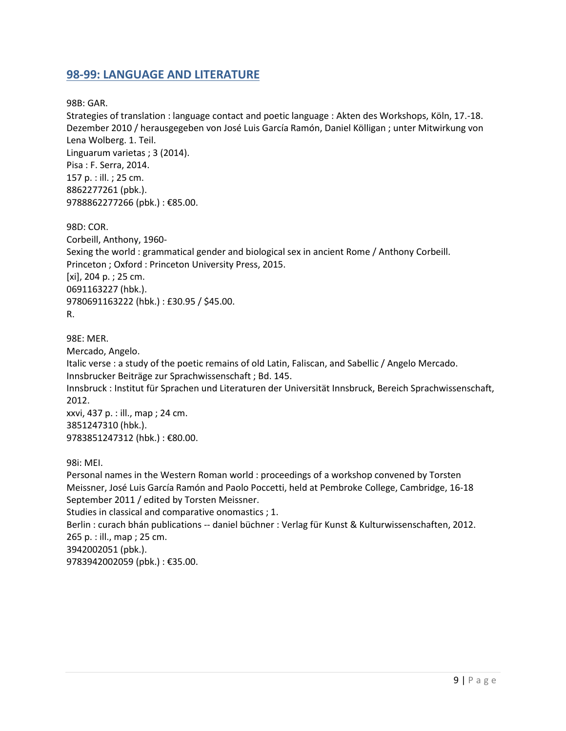#### <span id="page-8-0"></span>**98-99: LANGUAGE AND LITERATURE**

98B: GAR.

Strategies of translation : language contact and poetic language : Akten des Workshops, Köln, 17.-18. Dezember 2010 / herausgegeben von José Luis García Ramón, Daniel Kölligan ; unter Mitwirkung von Lena Wolberg. 1. Teil. Linguarum varietas ; 3 (2014). Pisa : F. Serra, 2014. 157 p. : ill. ; 25 cm. 8862277261 (pbk.). 9788862277266 (pbk.) : €85.00.

98D: COR. Corbeill, Anthony, 1960- Sexing the world : grammatical gender and biological sex in ancient Rome / Anthony Corbeill. Princeton ; Oxford : Princeton University Press, 2015. [xi], 204 p. ; 25 cm. 0691163227 (hbk.). 9780691163222 (hbk.) : £30.95 / \$45.00. R.

98E: MER.

Mercado, Angelo.

Italic verse : a study of the poetic remains of old Latin, Faliscan, and Sabellic / Angelo Mercado. Innsbrucker Beiträge zur Sprachwissenschaft ; Bd. 145.

Innsbruck : Institut für Sprachen und Literaturen der Universität Innsbruck, Bereich Sprachwissenschaft, 2012.

xxvi, 437 p. : ill., map ; 24 cm. 3851247310 (hbk.). 9783851247312 (hbk.) : €80.00.

98i: MEI.

Personal names in the Western Roman world : proceedings of a workshop convened by Torsten Meissner, José Luis García Ramón and Paolo Poccetti, held at Pembroke College, Cambridge, 16-18 September 2011 / edited by Torsten Meissner. Studies in classical and comparative onomastics ; 1. Berlin : curach bhán publications -- daniel büchner : Verlag für Kunst & Kulturwissenschaften, 2012. 265 p. : ill., map ; 25 cm. 3942002051 (pbk.).

9783942002059 (pbk.) : €35.00.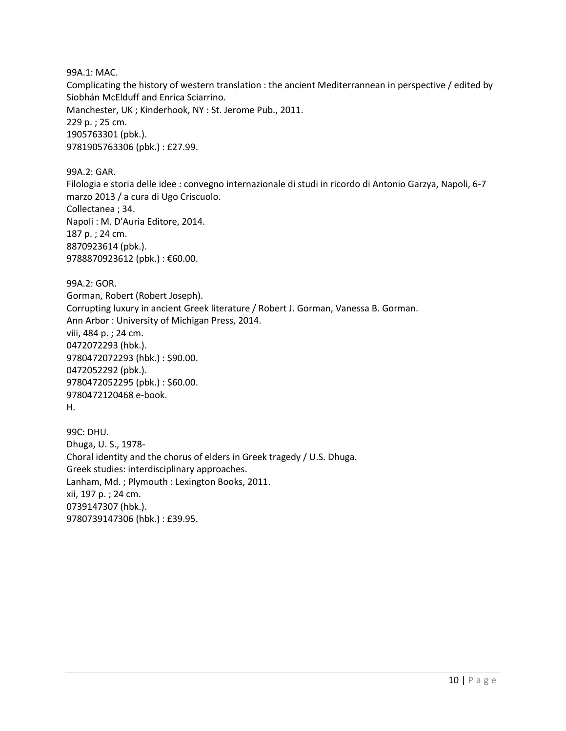99A.1: MAC.

Complicating the history of western translation : the ancient Mediterrannean in perspective / edited by Siobhán McElduff and Enrica Sciarrino.

Manchester, UK ; Kinderhook, NY : St. Jerome Pub., 2011. 229 p. ; 25 cm. 1905763301 (pbk.). 9781905763306 (pbk.) : £27.99.

99A.2: GAR. Filologia e storia delle idee : convegno internazionale di studi in ricordo di Antonio Garzya, Napoli, 6-7 marzo 2013 / a cura di Ugo Criscuolo. Collectanea ; 34. Napoli : M. D'Auria Editore, 2014. 187 p. ; 24 cm. 8870923614 (pbk.). 9788870923612 (pbk.): €60.00.

99A.2: GOR. Gorman, Robert (Robert Joseph). Corrupting luxury in ancient Greek literature / Robert J. Gorman, Vanessa B. Gorman. Ann Arbor : University of Michigan Press, 2014. viii, 484 p. ; 24 cm. 0472072293 (hbk.). 9780472072293 (hbk.) : \$90.00. 0472052292 (pbk.). 9780472052295 (pbk.) : \$60.00. 9780472120468 e-book. H.

99C: DHU. Dhuga, U. S., 1978- Choral identity and the chorus of elders in Greek tragedy / U.S. Dhuga. Greek studies: interdisciplinary approaches. Lanham, Md. ; Plymouth : Lexington Books, 2011. xii, 197 p. ; 24 cm. 0739147307 (hbk.). 9780739147306 (hbk.) : £39.95.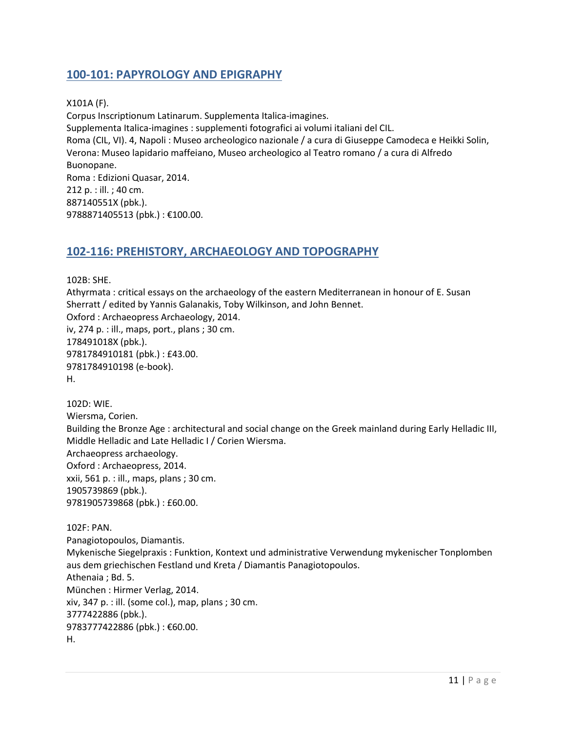# <span id="page-10-0"></span>**100-101: PAPYROLOGY AND EPIGRAPHY**

X101A (F). Corpus Inscriptionum Latinarum. Supplementa Italica-imagines. Supplementa Italica-imagines : supplementi fotografici ai volumi italiani del CIL. Roma (CIL, VI). 4, Napoli : Museo archeologico nazionale / a cura di Giuseppe Camodeca e Heikki Solin, Verona: Museo lapidario maffeiano, Museo archeologico al Teatro romano / a cura di Alfredo Buonopane. Roma : Edizioni Quasar, 2014. 212 p. : ill. ; 40 cm. 887140551X (pbk.). 9788871405513 (pbk.) : €100.00.

#### <span id="page-10-1"></span>**102-116: PREHISTORY, ARCHAEOLOGY AND TOPOGRAPHY**

102B: SHE. Athyrmata : critical essays on the archaeology of the eastern Mediterranean in honour of E. Susan Sherratt / edited by Yannis Galanakis, Toby Wilkinson, and John Bennet. Oxford : Archaeopress Archaeology, 2014. iv, 274 p. : ill., maps, port., plans ; 30 cm. 178491018X (pbk.). 9781784910181 (pbk.) : £43.00. 9781784910198 (e-book). H.

102D: WIE. Wiersma, Corien. Building the Bronze Age : architectural and social change on the Greek mainland during Early Helladic III, Middle Helladic and Late Helladic I / Corien Wiersma. Archaeopress archaeology. Oxford : Archaeopress, 2014. xxii, 561 p. : ill., maps, plans ; 30 cm. 1905739869 (pbk.). 9781905739868 (pbk.) : £60.00.

102F: PAN. Panagiotopoulos, Diamantis. Mykenische Siegelpraxis : Funktion, Kontext und administrative Verwendung mykenischer Tonplomben aus dem griechischen Festland und Kreta / Diamantis Panagiotopoulos. Athenaia ; Bd. 5. München : Hirmer Verlag, 2014. xiv, 347 p. : ill. (some col.), map, plans ; 30 cm. 3777422886 (pbk.). 9783777422886 (pbk.): €60.00. H.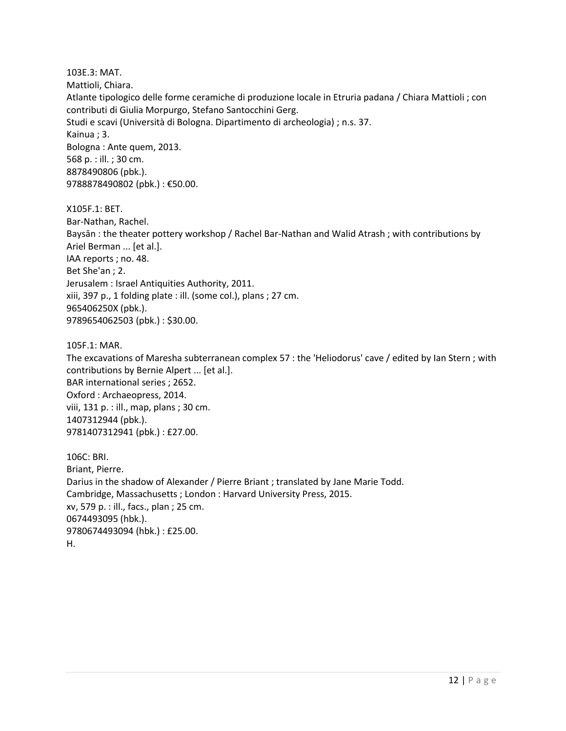103E.3: MAT. Mattioli, Chiara. Atlante tipologico delle forme ceramiche di produzione locale in Etruria padana / Chiara Mattioli ; con contributi di Giulia Morpurgo, Stefano Santocchini Gerg. Studi e scavi (Università di Bologna. Dipartimento di archeologia) ; n.s. 37. Kainua ; 3. Bologna : Ante quem, 2013. 568 p. : ill. ; 30 cm. 8878490806 (pbk.). 9788878490802 (pbk.) : €50.00.

X105F.1: BET. Bar-Nathan, Rachel. Baysān : the theater pottery workshop / Rachel Bar-Nathan and Walid Atrash ; with contributions by Ariel Berman ... [et al.]. IAA reports ; no. 48. Bet She'an ; 2. Jerusalem : Israel Antiquities Authority, 2011. xiii, 397 p., 1 folding plate : ill. (some col.), plans ; 27 cm. 965406250X (pbk.). 9789654062503 (pbk.) : \$30.00.

105F.1: MAR.

The excavations of Maresha subterranean complex 57 : the 'Heliodorus' cave / edited by Ian Stern ; with contributions by Bernie Alpert ... [et al.]. BAR international series ; 2652. Oxford : Archaeopress, 2014. viii, 131 p. : ill., map, plans ; 30 cm. 1407312944 (pbk.). 9781407312941 (pbk.) : £27.00.

106C: BRI. Briant, Pierre. Darius in the shadow of Alexander / Pierre Briant ; translated by Jane Marie Todd. Cambridge, Massachusetts ; London : Harvard University Press, 2015. xv, 579 p. : ill., facs., plan ; 25 cm. 0674493095 (hbk.). 9780674493094 (hbk.) : £25.00. H.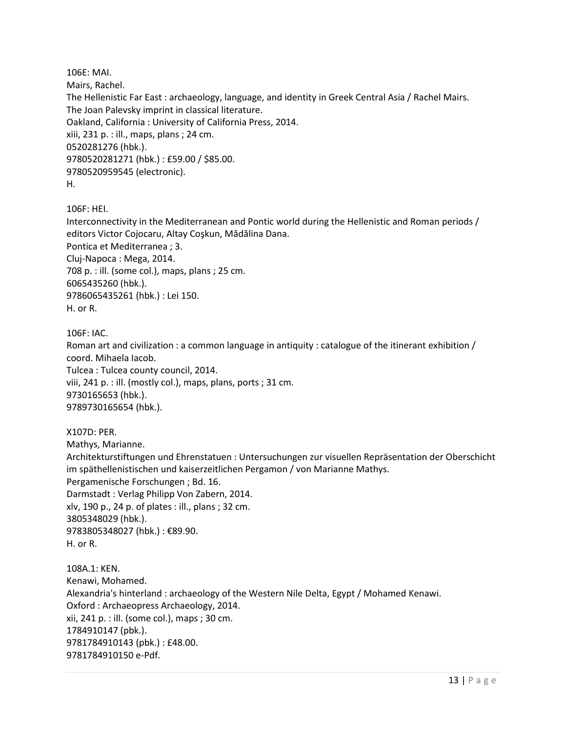106E: MAI. Mairs, Rachel. The Hellenistic Far East : archaeology, language, and identity in Greek Central Asia / Rachel Mairs. The Joan Palevsky imprint in classical literature. Oakland, California : University of California Press, 2014. xiii, 231 p. : ill., maps, plans ; 24 cm. 0520281276 (hbk.). 9780520281271 (hbk.) : £59.00 / \$85.00. 9780520959545 (electronic). H.

106F: HEI.

Interconnectivity in the Mediterranean and Pontic world during the Hellenistic and Roman periods / editors Victor Cojocaru, Altay Coşkun, Mădălina Dana. Pontica et Mediterranea ; 3. Cluj-Napoca : Mega, 2014. 708 p. : ill. (some col.), maps, plans ; 25 cm. 6065435260 (hbk.). 9786065435261 (hbk.) : Lei 150. H. or R.

106F: IAC.

Roman art and civilization : a common language in antiquity : catalogue of the itinerant exhibition / coord. Mihaela Iacob.

Tulcea : Tulcea county council, 2014. viii, 241 p. : ill. (mostly col.), maps, plans, ports ; 31 cm. 9730165653 (hbk.). 9789730165654 (hbk.).

X107D: PER. Mathys, Marianne. Architekturstiftungen und Ehrenstatuen : Untersuchungen zur visuellen Repräsentation der Oberschicht im späthellenistischen und kaiserzeitlichen Pergamon / von Marianne Mathys. Pergamenische Forschungen ; Bd. 16. Darmstadt : Verlag Philipp Von Zabern, 2014. xlv, 190 p., 24 p. of plates : ill., plans ; 32 cm. 3805348029 (hbk.). 9783805348027 (hbk.) : €89.90. H. or R.

108A.1: KEN. Kenawi, Mohamed. Alexandria's hinterland : archaeology of the Western Nile Delta, Egypt / Mohamed Kenawi. Oxford : Archaeopress Archaeology, 2014. xii, 241 p. : ill. (some col.), maps ; 30 cm. 1784910147 (pbk.). 9781784910143 (pbk.) : £48.00. 9781784910150 e-Pdf.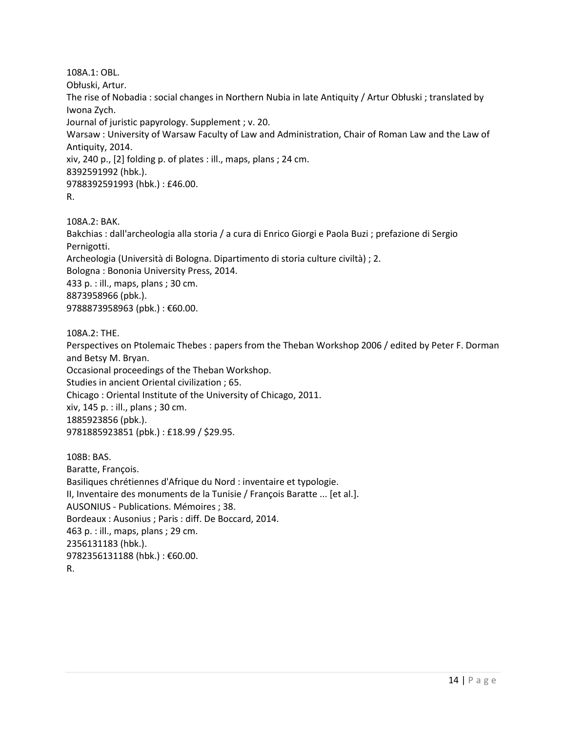108A.1: OBL. Obłuski, Artur. The rise of Nobadia : social changes in Northern Nubia in late Antiquity / Artur Obłuski ; translated by Iwona Zych. Journal of juristic papyrology. Supplement ; v. 20. Warsaw : University of Warsaw Faculty of Law and Administration, Chair of Roman Law and the Law of Antiquity, 2014. xiv, 240 p., [2] folding p. of plates : ill., maps, plans ; 24 cm. 8392591992 (hbk.). 9788392591993 (hbk.) : £46.00. R.

108A.2: BAK.

Bakchias : dall'archeologia alla storia / a cura di Enrico Giorgi e Paola Buzi ; prefazione di Sergio Pernigotti. Archeologia (Università di Bologna. Dipartimento di storia culture civiltà) ; 2. Bologna : Bononia University Press, 2014. 433 p. : ill., maps, plans ; 30 cm. 8873958966 (pbk.).

9788873958963 (pbk.) : €60.00.

108A.2: THE.

Perspectives on Ptolemaic Thebes : papers from the Theban Workshop 2006 / edited by Peter F. Dorman and Betsy M. Bryan.

Occasional proceedings of the Theban Workshop.

Studies in ancient Oriental civilization ; 65.

Chicago : Oriental Institute of the University of Chicago, 2011.

xiv, 145 p. : ill., plans ; 30 cm.

1885923856 (pbk.).

9781885923851 (pbk.) : £18.99 / \$29.95.

108B: BAS. Baratte, François. Basiliques chrétiennes d'Afrique du Nord : inventaire et typologie. II, Inventaire des monuments de la Tunisie / François Baratte ... [et al.]. AUSONIUS - Publications. Mémoires ; 38. Bordeaux : Ausonius ; Paris : diff. De Boccard, 2014. 463 p. : ill., maps, plans ; 29 cm. 2356131183 (hbk.). 9782356131188 (hbk.) : €60.00. R.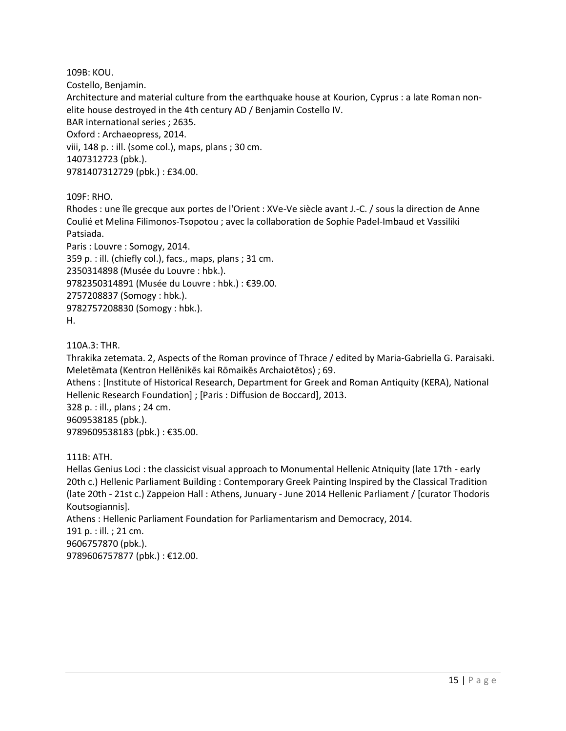109B: KOU. Costello, Benjamin. Architecture and material culture from the earthquake house at Kourion, Cyprus : a late Roman nonelite house destroyed in the 4th century AD / Benjamin Costello IV. BAR international series ; 2635. Oxford : Archaeopress, 2014. viii, 148 p. : ill. (some col.), maps, plans ; 30 cm. 1407312723 (pbk.). 9781407312729 (pbk.) : £34.00.

109F: RHO.

Rhodes : une île grecque aux portes de l'Orient : XVe-Ve siècle avant J.-C. / sous la direction de Anne Coulié et Melina Filimonos-Tsopotou ; avec la collaboration de Sophie Padel-Imbaud et Vassiliki Patsiada.

Paris : Louvre : Somogy, 2014. 359 p. : ill. (chiefly col.), facs., maps, plans ; 31 cm. 2350314898 (Musée du Louvre : hbk.). 9782350314891 (Musée du Louvre : hbk.) : €39.00. 2757208837 (Somogy : hbk.). 9782757208830 (Somogy : hbk.). H.

110A.3: THR.

Thrakika zetemata. 2, Aspects of the Roman province of Thrace / edited by Maria-Gabriella G. Paraisaki. Meletēmata (Kentron Hellēnikēs kai Rōmaikēs Archaiotētos) ; 69.

Athens : [Institute of Historical Research, Department for Greek and Roman Antiquity (KERA), National Hellenic Research Foundation] ; [Paris : Diffusion de Boccard], 2013.

328 p. : ill., plans ; 24 cm. 9609538185 (pbk.). 9789609538183 (pbk.) : €35.00.

111B: ATH.

Hellas Genius Loci : the classicist visual approach to Monumental Hellenic Atniquity (late 17th - early 20th c.) Hellenic Parliament Building : Contemporary Greek Painting Inspired by the Classical Tradition (late 20th - 21st c.) Zappeion Hall : Athens, Junuary - June 2014 Hellenic Parliament / [curator Thodoris Koutsogiannis]. Athens : Hellenic Parliament Foundation for Parliamentarism and Democracy, 2014. 191 p. : ill. ; 21 cm.

9606757870 (pbk.). 9789606757877 (pbk.) : €12.00.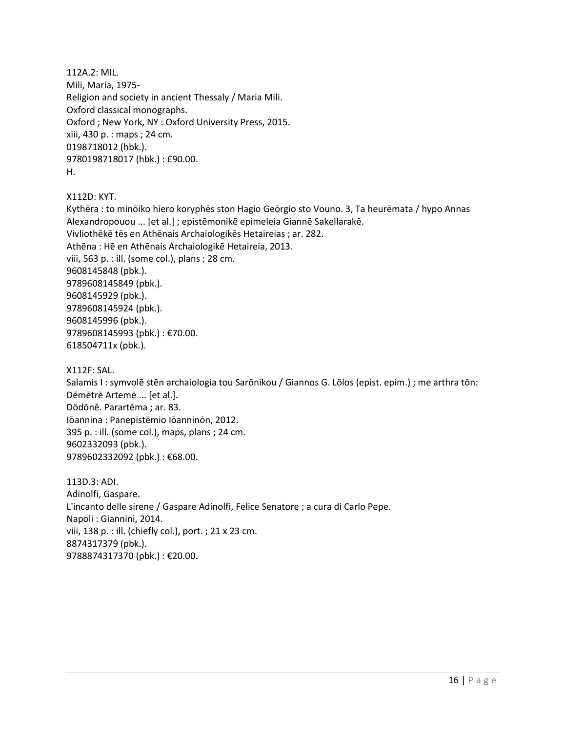112A.2: MIL. Mili, Maria, 1975- Religion and society in ancient Thessaly / Maria Mili. Oxford classical monographs. Oxford ; New York, NY : Oxford University Press, 2015. xiii, 430 p. : maps ; 24 cm. 0198718012 (hbk.). 9780198718017 (hbk.) : £90.00. H.

X112D: KYT.

Kythēra : to minōiko hiero koryphēs ston Hagio Geōrgio sto Vouno. 3, Ta heurēmata / hypo Annas Alexandropouou ... [et al.] ; epistēmonikē epimeleia Giannē Sakellarakē. Vivliothēkē tēs en Athēnais Archaiologikēs Hetaireias ; ar. 282. Athēna : Hē en Athēnais Archaiologikē Hetaireia, 2013. viii, 563 p. : ill. (some col.), plans ; 28 cm. 9608145848 (pbk.). 9789608145849 (pbk.). 9608145929 (pbk.). 9789608145924 (pbk.). 9608145996 (pbk.). 9789608145993 (pbk.) : €70.00. 618504711x (pbk.).

X112F: SAL.

Salamis I : symvolē stēn archaiologia tou Sarōnikou / Giannos G. Lōlos (epist. epim.) ; me arthra tōn: Dēmētrē Artemē ... [et al.]. Dōdōnē. Parartēma ; ar. 83. Iōannina : Panepistēmio Iōanninōn, 2012. 395 p. : ill. (some col.), maps, plans ; 24 cm. 9602332093 (pbk.). 9789602332092 (pbk.): €68.00.

113D.3: ADI. Adinolfi, Gaspare. L'incanto delle sirene / Gaspare Adinolfi, Felice Senatore ; a cura di Carlo Pepe. Napoli : Giannini, 2014. viii, 138 p. : ill. (chiefly col.), port. ; 21 x 23 cm. 8874317379 (pbk.). 9788874317370 (pbk.) : €20.00.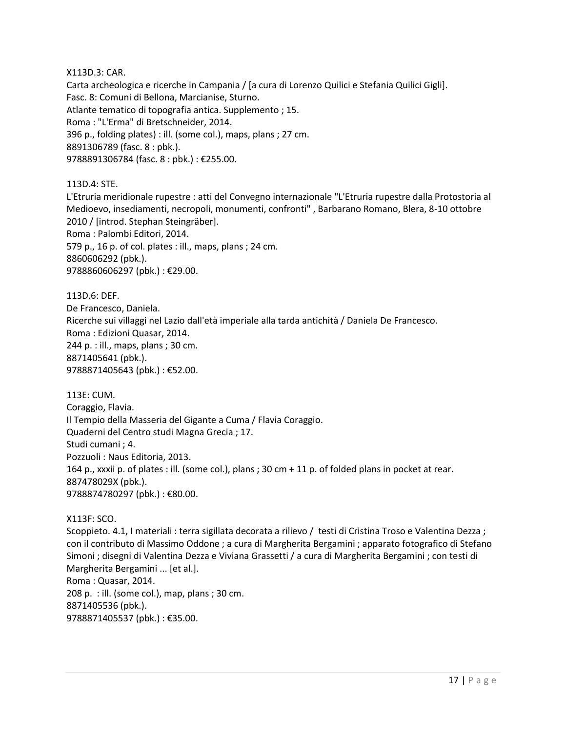X113D.3: CAR.

Carta archeologica e ricerche in Campania / [a cura di Lorenzo Quilici e Stefania Quilici Gigli]. Fasc. 8: Comuni di Bellona, Marcianise, Sturno. Atlante tematico di topografia antica. Supplemento ; 15. Roma : "L'Erma" di Bretschneider, 2014. 396 p., folding plates) : ill. (some col.), maps, plans ; 27 cm. 8891306789 (fasc. 8 : pbk.). 9788891306784 (fasc. 8 : pbk.) : €255.00.

113D.4: STE. L'Etruria meridionale rupestre : atti del Convegno internazionale "L'Etruria rupestre dalla Protostoria al Medioevo, insediamenti, necropoli, monumenti, confronti" , Barbarano Romano, Blera, 8-10 ottobre 2010 / [introd. Stephan Steingräber]. Roma : Palombi Editori, 2014. 579 p., 16 p. of col. plates : ill., maps, plans ; 24 cm. 8860606292 (pbk.). 9788860606297 (pbk.) : €29.00.

113D.6: DEF. De Francesco, Daniela. Ricerche sui villaggi nel Lazio dall'età imperiale alla tarda antichità / Daniela De Francesco. Roma : Edizioni Quasar, 2014. 244 p. : ill., maps, plans ; 30 cm. 8871405641 (pbk.). 9788871405643 (pbk.) : €52.00.

113E: CUM. Coraggio, Flavia. Il Tempio della Masseria del Gigante a Cuma / Flavia Coraggio. Quaderni del Centro studi Magna Grecia ; 17. Studi cumani ; 4. Pozzuoli : Naus Editoria, 2013. 164 p., xxxii p. of plates : ill. (some col.), plans ; 30 cm + 11 p. of folded plans in pocket at rear. 887478029X (pbk.). 9788874780297 (pbk.) : €80.00.

X113F: SCO.

Scoppieto. 4.1, I materiali : terra sigillata decorata a rilievo / testi di Cristina Troso e Valentina Dezza ; con il contributo di Massimo Oddone ; a cura di Margherita Bergamini ; apparato fotografico di Stefano Simoni ; disegni di Valentina Dezza e Viviana Grassetti / a cura di Margherita Bergamini ; con testi di Margherita Bergamini ... [et al.]. Roma : Quasar, 2014. 208 p. : ill. (some col.), map, plans ; 30 cm. 8871405536 (pbk.). 9788871405537 (pbk.) : €35.00.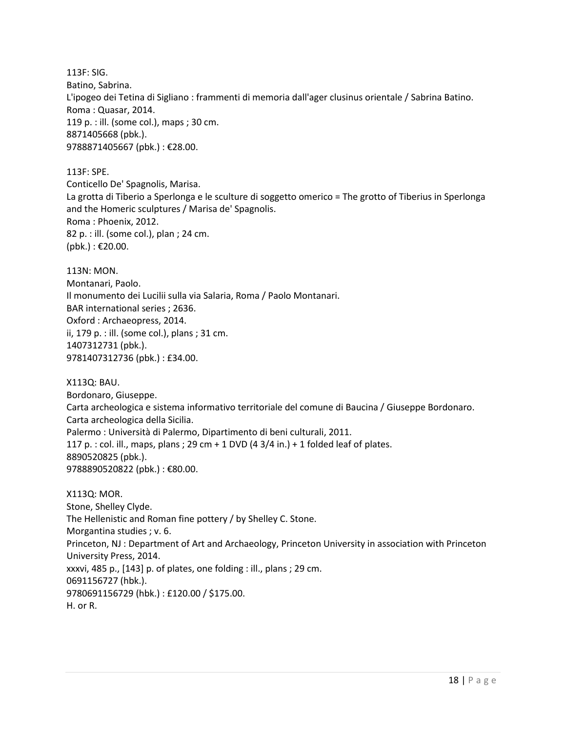113F: SIG. Batino, Sabrina. L'ipogeo dei Tetina di Sigliano : frammenti di memoria dall'ager clusinus orientale / Sabrina Batino. Roma : Quasar, 2014. 119 p. : ill. (some col.), maps ; 30 cm. 8871405668 (pbk.). 9788871405667 (pbk.) : €28.00.

113F: SPE. Conticello De' Spagnolis, Marisa. La grotta di Tiberio a Sperlonga e le sculture di soggetto omerico = The grotto of Tiberius in Sperlonga and the Homeric sculptures / Marisa de' Spagnolis. Roma : Phoenix, 2012. 82 p. : ill. (some col.), plan ; 24 cm.  $(pbk.)$  : €20.00.

113N: MON. Montanari, Paolo. Il monumento dei Lucilii sulla via Salaria, Roma / Paolo Montanari. BAR international series ; 2636. Oxford : Archaeopress, 2014. ii, 179 p. : ill. (some col.), plans ; 31 cm. 1407312731 (pbk.). 9781407312736 (pbk.) : £34.00.

X113Q: BAU. Bordonaro, Giuseppe. Carta archeologica e sistema informativo territoriale del comune di Baucina / Giuseppe Bordonaro. Carta archeologica della Sicilia. Palermo : Università di Palermo, Dipartimento di beni culturali, 2011. 117 p. : col. ill., maps, plans ; 29 cm + 1 DVD (4 3/4 in.) + 1 folded leaf of plates. 8890520825 (pbk.). 9788890520822 (pbk.) : €80.00.

X113Q: MOR. Stone, Shelley Clyde. The Hellenistic and Roman fine pottery / by Shelley C. Stone. Morgantina studies ; v. 6. Princeton, NJ : Department of Art and Archaeology, Princeton University in association with Princeton University Press, 2014. xxxvi, 485 p., [143] p. of plates, one folding : ill., plans ; 29 cm. 0691156727 (hbk.). 9780691156729 (hbk.) : £120.00 / \$175.00. H. or R.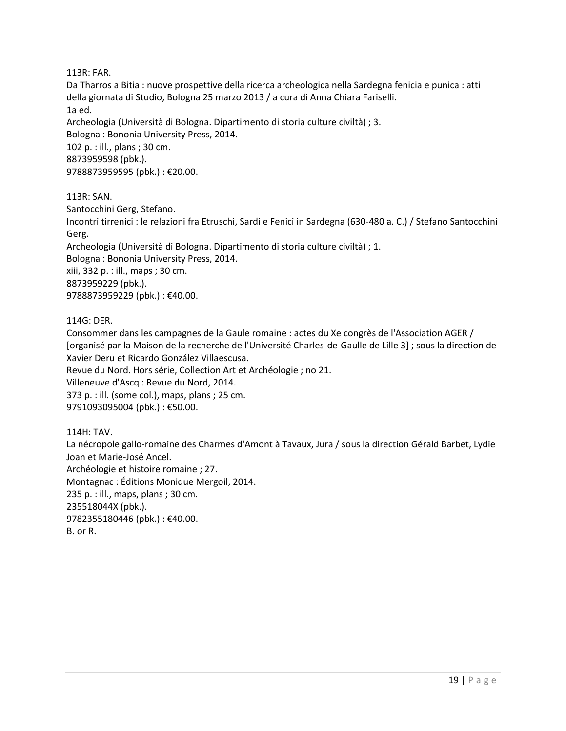113R: FAR.

Da Tharros a Bitia : nuove prospettive della ricerca archeologica nella Sardegna fenicia e punica : atti della giornata di Studio, Bologna 25 marzo 2013 / a cura di Anna Chiara Fariselli. 1a ed. Archeologia (Università di Bologna. Dipartimento di storia culture civiltà) ; 3. Bologna : Bononia University Press, 2014. 102 p. : ill., plans ; 30 cm. 8873959598 (pbk.). 9788873959595 (pbk.) : €20.00.

113R: SAN.

Santocchini Gerg, Stefano. Incontri tirrenici : le relazioni fra Etruschi, Sardi e Fenici in Sardegna (630-480 a. C.) / Stefano Santocchini Gerg. Archeologia (Università di Bologna. Dipartimento di storia culture civiltà) ; 1. Bologna : Bononia University Press, 2014. xiii, 332 p. : ill., maps ; 30 cm. 8873959229 (pbk.). 9788873959229 (pbk.) : €40.00.

114G: DER.

Consommer dans les campagnes de la Gaule romaine : actes du Xe congrès de l'Association AGER / [organisé par la Maison de la recherche de l'Université Charles-de-Gaulle de Lille 3] ; sous la direction de Xavier Deru et Ricardo González Villaescusa. Revue du Nord. Hors série, Collection Art et Archéologie ; no 21. Villeneuve d'Ascq : Revue du Nord, 2014. 373 p. : ill. (some col.), maps, plans ; 25 cm. 9791093095004 (pbk.) : €50.00.

114H: TAV. La nécropole gallo-romaine des Charmes d'Amont à Tavaux, Jura / sous la direction Gérald Barbet, Lydie Joan et Marie-José Ancel. Archéologie et histoire romaine ; 27. Montagnac : Éditions Monique Mergoil, 2014. 235 p. : ill., maps, plans ; 30 cm. 235518044X (pbk.). 9782355180446 (pbk.): €40.00. B. or R.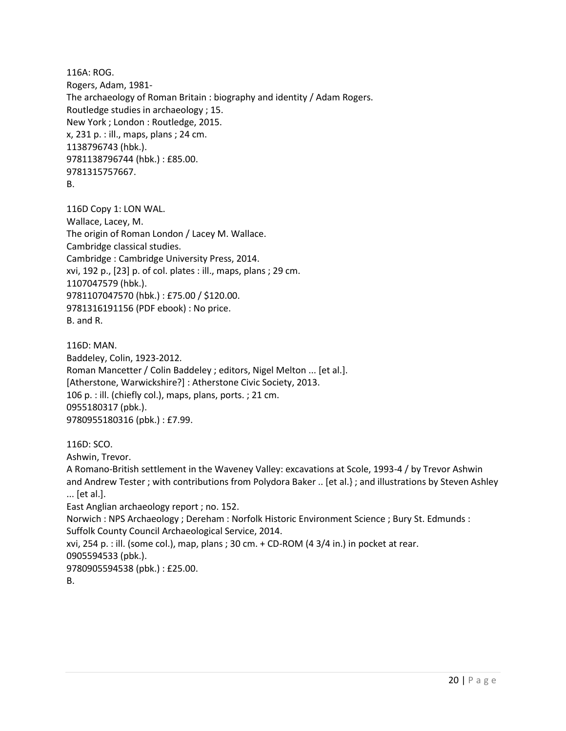116A: ROG. Rogers, Adam, 1981- The archaeology of Roman Britain : biography and identity / Adam Rogers. Routledge studies in archaeology ; 15. New York ; London : Routledge, 2015. x, 231 p. : ill., maps, plans ; 24 cm. 1138796743 (hbk.). 9781138796744 (hbk.) : £85.00. 9781315757667. B.

116D Copy 1: LON WAL. Wallace, Lacey, M. The origin of Roman London / Lacey M. Wallace. Cambridge classical studies. Cambridge : Cambridge University Press, 2014. xvi, 192 p., [23] p. of col. plates : ill., maps, plans ; 29 cm. 1107047579 (hbk.). 9781107047570 (hbk.) : £75.00 / \$120.00. 9781316191156 (PDF ebook) : No price. B. and R.

```
116D: MAN. 
Baddeley, Colin, 1923-2012.
Roman Mancetter / Colin Baddeley ; editors, Nigel Melton ... [et al.].
[Atherstone, Warwickshire?] : Atherstone Civic Society, 2013.
106 p. : ill. (chiefly col.), maps, plans, ports. ; 21 cm.
0955180317 (pbk.). 
9780955180316 (pbk.) : £7.99.
```
116D: SCO. Ashwin, Trevor. A Romano-British settlement in the Waveney Valley: excavations at Scole, 1993-4 / by Trevor Ashwin and Andrew Tester ; with contributions from Polydora Baker .. [et al.} ; and illustrations by Steven Ashley ... [et al.]. East Anglian archaeology report ; no. 152. Norwich : NPS Archaeology ; Dereham : Norfolk Historic Environment Science ; Bury St. Edmunds : Suffolk County Council Archaeological Service, 2014. xvi, 254 p. : ill. (some col.), map, plans ; 30 cm. + CD-ROM (4 3/4 in.) in pocket at rear. 0905594533 (pbk.). 9780905594538 (pbk.) : £25.00. B.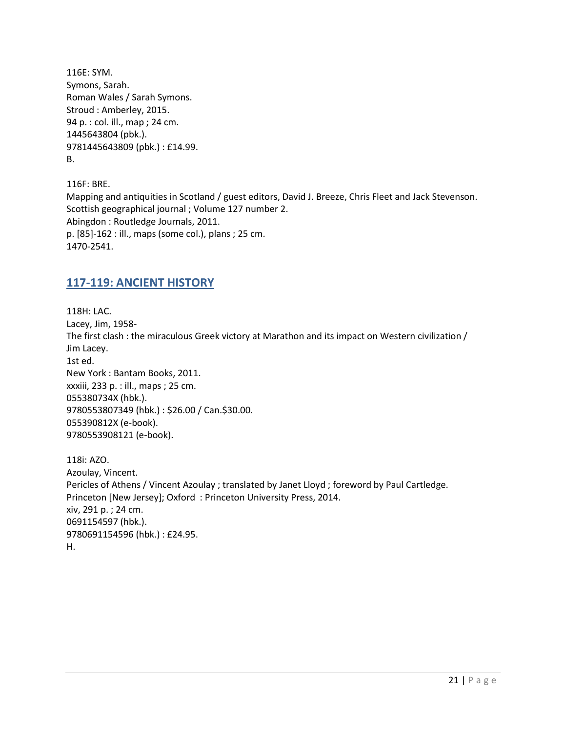116E: SYM. Symons, Sarah. Roman Wales / Sarah Symons. Stroud : Amberley, 2015. 94 p. : col. ill., map ; 24 cm. 1445643804 (pbk.). 9781445643809 (pbk.) : £14.99. B.

116F: BRE. Mapping and antiquities in Scotland / guest editors, David J. Breeze, Chris Fleet and Jack Stevenson. Scottish geographical journal ; Volume 127 number 2. Abingdon : Routledge Journals, 2011. p. [85]-162 : ill., maps (some col.), plans ; 25 cm. 1470-2541.

#### <span id="page-20-0"></span>**117-119: ANCIENT HISTORY**

118H: LAC. Lacey, Jim, 1958- The first clash : the miraculous Greek victory at Marathon and its impact on Western civilization / Jim Lacey. 1st ed. New York : Bantam Books, 2011. xxxiii, 233 p. : ill., maps ; 25 cm. 055380734X (hbk.). 9780553807349 (hbk.) : \$26.00 / Can.\$30.00. 055390812X (e-book). 9780553908121 (e-book).

118i: AZO. Azoulay, Vincent. Pericles of Athens / Vincent Azoulay ; translated by Janet Lloyd ; foreword by Paul Cartledge. Princeton [New Jersey]; Oxford : Princeton University Press, 2014. xiv, 291 p. ; 24 cm. 0691154597 (hbk.). 9780691154596 (hbk.) : £24.95. H.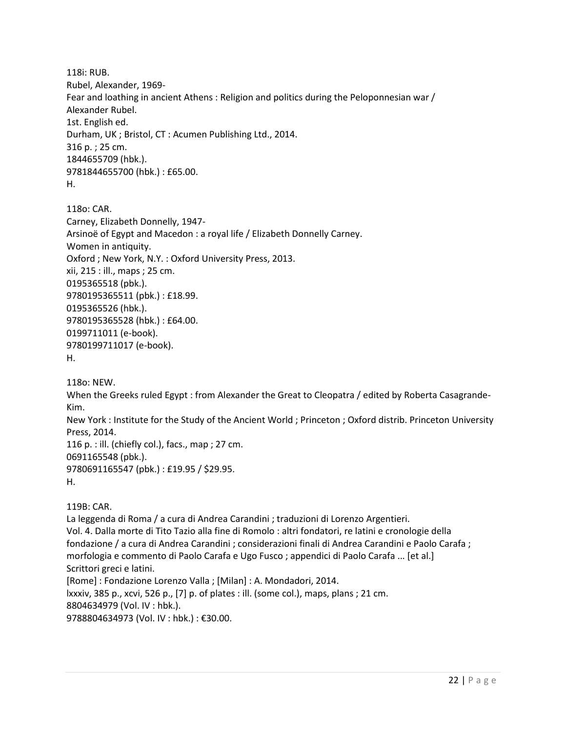118i: RUB. Rubel, Alexander, 1969- Fear and loathing in ancient Athens : Religion and politics during the Peloponnesian war / Alexander Rubel. 1st. English ed. Durham, UK ; Bristol, CT : Acumen Publishing Ltd., 2014. 316 p. ; 25 cm. 1844655709 (hbk.). 9781844655700 (hbk.) : £65.00. H.

118o: CAR. Carney, Elizabeth Donnelly, 1947- Arsinoë of Egypt and Macedon : a royal life / Elizabeth Donnelly Carney. Women in antiquity. Oxford ; New York, N.Y. : Oxford University Press, 2013. xii, 215 : ill., maps ; 25 cm. 0195365518 (pbk.). 9780195365511 (pbk.) : £18.99. 0195365526 (hbk.). 9780195365528 (hbk.) : £64.00. 0199711011 (e-book). 9780199711017 (e-book). H.

118o: NEW.

When the Greeks ruled Egypt : from Alexander the Great to Cleopatra / edited by Roberta Casagrande-Kim.

New York : Institute for the Study of the Ancient World ; Princeton ; Oxford distrib. Princeton University Press, 2014.

116 p. : ill. (chiefly col.), facs., map ; 27 cm. 0691165548 (pbk.). 9780691165547 (pbk.) : £19.95 / \$29.95. H.

119B: CAR.

La leggenda di Roma / a cura di Andrea Carandini ; traduzioni di Lorenzo Argentieri. Vol. 4. Dalla morte di Tito Tazio alla fine di Romolo : altri fondatori, re latini e cronologie della fondazione / a cura di Andrea Carandini ; considerazioni finali di Andrea Carandini e Paolo Carafa ; morfologia e commento di Paolo Carafa e Ugo Fusco ; appendici di Paolo Carafa ... [et al.] Scrittori greci e latini. [Rome] : Fondazione Lorenzo Valla ; [Milan] : A. Mondadori, 2014. lxxxiv, 385 p., xcvi, 526 p., [7] p. of plates : ill. (some col.), maps, plans ; 21 cm. 8804634979 (Vol. IV : hbk.). 9788804634973 (Vol. IV : hbk.) : €30.00.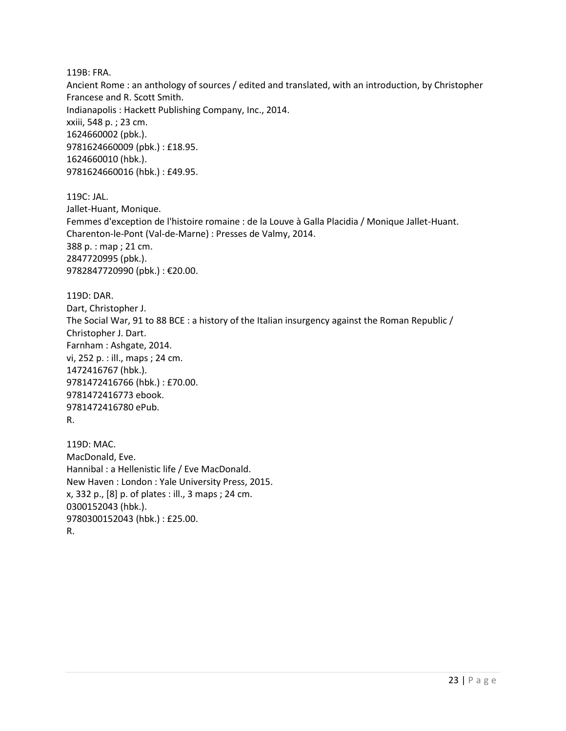119B: FRA.

Ancient Rome : an anthology of sources / edited and translated, with an introduction, by Christopher Francese and R. Scott Smith. Indianapolis : Hackett Publishing Company, Inc., 2014. xxiii, 548 p. ; 23 cm. 1624660002 (pbk.). 9781624660009 (pbk.) : £18.95. 1624660010 (hbk.). 9781624660016 (hbk.) : £49.95.

119C: JAL. Jallet-Huant, Monique. Femmes d'exception de l'histoire romaine : de la Louve à Galla Placidia / Monique Jallet-Huant. Charenton-le-Pont (Val-de-Marne) : Presses de Valmy, 2014. 388 p. : map ; 21 cm. 2847720995 (pbk.). 9782847720990 (pbk.) : €20.00.

119D: DAR. Dart, Christopher J. The Social War, 91 to 88 BCE : a history of the Italian insurgency against the Roman Republic / Christopher J. Dart. Farnham : Ashgate, 2014. vi, 252 p. : ill., maps ; 24 cm. 1472416767 (hbk.). 9781472416766 (hbk.) : £70.00. 9781472416773 ebook. 9781472416780 ePub. R.

119D: MAC. MacDonald, Eve. Hannibal : a Hellenistic life / Eve MacDonald. New Haven : London : Yale University Press, 2015. x, 332 p., [8] p. of plates : ill., 3 maps ; 24 cm. 0300152043 (hbk.). 9780300152043 (hbk.) : £25.00. R.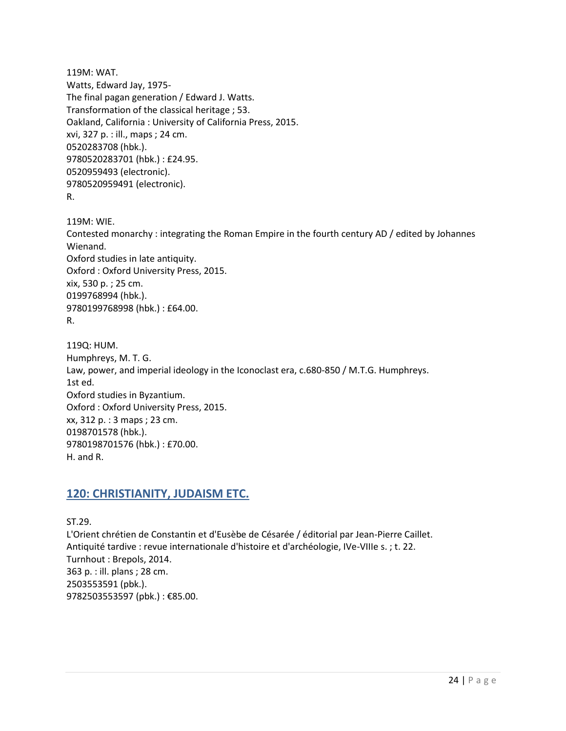119M: WAT. Watts, Edward Jay, 1975- The final pagan generation / Edward J. Watts. Transformation of the classical heritage ; 53. Oakland, California : University of California Press, 2015. xvi, 327 p. : ill., maps ; 24 cm. 0520283708 (hbk.). 9780520283701 (hbk.) : £24.95. 0520959493 (electronic). 9780520959491 (electronic). R.

119M: WIE. Contested monarchy : integrating the Roman Empire in the fourth century AD / edited by Johannes Wienand. Oxford studies in late antiquity. Oxford : Oxford University Press, 2015. xix, 530 p. ; 25 cm. 0199768994 (hbk.). 9780199768998 (hbk.) : £64.00. R.

119Q: HUM. Humphreys, M. T. G. Law, power, and imperial ideology in the Iconoclast era, c.680-850 / M.T.G. Humphreys. 1st ed. Oxford studies in Byzantium. Oxford : Oxford University Press, 2015. xx, 312 p. : 3 maps ; 23 cm. 0198701578 (hbk.). 9780198701576 (hbk.) : £70.00. H. and R.

# <span id="page-23-0"></span>**120: CHRISTIANITY, JUDAISM ETC.**

ST.29. L'Orient chrétien de Constantin et d'Eusèbe de Césarée / éditorial par Jean-Pierre Caillet. Antiquité tardive : revue internationale d'histoire et d'archéologie, IVe-VIIIe s. ; t. 22. Turnhout : Brepols, 2014. 363 p. : ill. plans ; 28 cm. 2503553591 (pbk.). 9782503553597 (pbk.) : €85.00.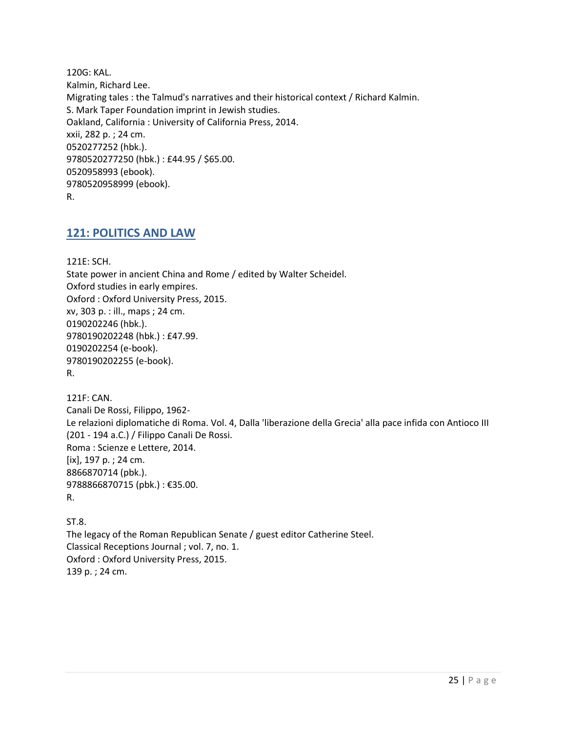120G: KAL. Kalmin, Richard Lee. Migrating tales : the Talmud's narratives and their historical context / Richard Kalmin. S. Mark Taper Foundation imprint in Jewish studies. Oakland, California : University of California Press, 2014. xxii, 282 p. ; 24 cm. 0520277252 (hbk.). 9780520277250 (hbk.) : £44.95 / \$65.00. 0520958993 (ebook). 9780520958999 (ebook). R.

#### <span id="page-24-0"></span>**121: POLITICS AND LAW**

121E: SCH.

State power in ancient China and Rome / edited by Walter Scheidel. Oxford studies in early empires. Oxford : Oxford University Press, 2015. xv, 303 p. : ill., maps ; 24 cm. 0190202246 (hbk.). 9780190202248 (hbk.) : £47.99. 0190202254 (e-book). 9780190202255 (e-book). R.

121F: CAN. Canali De Rossi, Filippo, 1962- Le relazioni diplomatiche di Roma. Vol. 4, Dalla 'liberazione della Grecia' alla pace infida con Antioco III (201 - 194 a.C.) / Filippo Canali De Rossi. Roma : Scienze e Lettere, 2014. [ix], 197 p. ; 24 cm. 8866870714 (pbk.). 9788866870715 (pbk.) : €35.00. R.

ST.8. The legacy of the Roman Republican Senate / guest editor Catherine Steel. Classical Receptions Journal ; vol. 7, no. 1. Oxford : Oxford University Press, 2015. 139 p. ; 24 cm.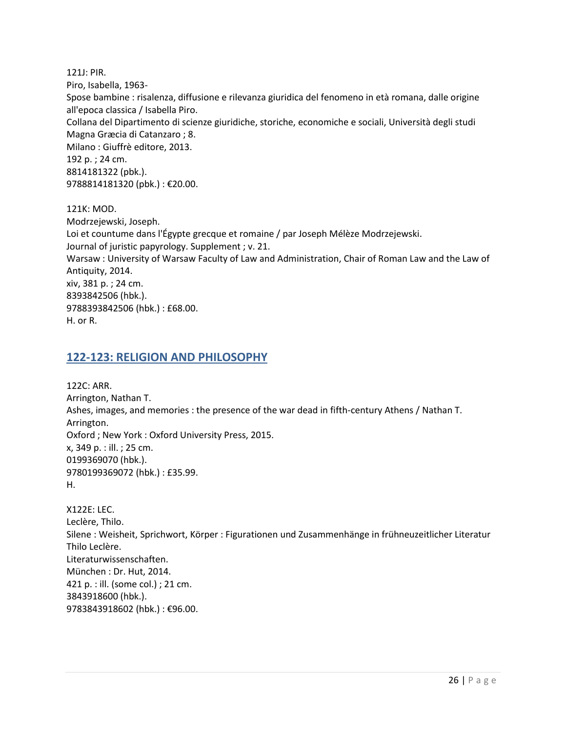121J: PIR. Piro, Isabella, 1963- Spose bambine : risalenza, diffusione e rilevanza giuridica del fenomeno in età romana, dalle origine all'epoca classica / Isabella Piro. Collana del Dipartimento di scienze giuridiche, storiche, economiche e sociali, Università degli studi Magna Græcia di Catanzaro ; 8. Milano : Giuffrè editore, 2013. 192 p. ; 24 cm. 8814181322 (pbk.). 9788814181320 (pbk.) : €20.00. 121K: MOD.

Modrzejewski, Joseph. Loi et countume dans l'Égypte grecque et romaine / par Joseph Mélèze Modrzejewski. Journal of juristic papyrology. Supplement ; v. 21. Warsaw : University of Warsaw Faculty of Law and Administration, Chair of Roman Law and the Law of Antiquity, 2014. xiv, 381 p. ; 24 cm. 8393842506 (hbk.). 9788393842506 (hbk.) : £68.00. H. or R.

#### <span id="page-25-0"></span>**122-123: RELIGION AND PHILOSOPHY**

122C: ARR. Arrington, Nathan T. Ashes, images, and memories : the presence of the war dead in fifth-century Athens / Nathan T. Arrington. Oxford ; New York : Oxford University Press, 2015. x, 349 p. : ill. ; 25 cm. 0199369070 (hbk.). 9780199369072 (hbk.) : £35.99. H.

X122E: LEC. Leclère, Thilo. Silene : Weisheit, Sprichwort, Körper : Figurationen und Zusammenhänge in frühneuzeitlicher Literatur Thilo Leclère. Literaturwissenschaften. München : Dr. Hut, 2014. 421 p. : ill. (some col.) ; 21 cm. 3843918600 (hbk.). 9783843918602 (hbk.) : €96.00.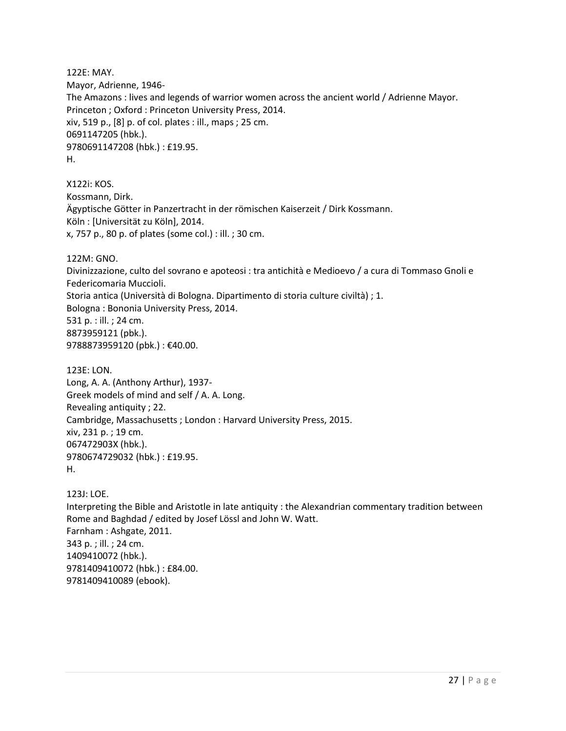122E: MAY. Mayor, Adrienne, 1946- The Amazons : lives and legends of warrior women across the ancient world / Adrienne Mayor. Princeton ; Oxford : Princeton University Press, 2014. xiv, 519 p., [8] p. of col. plates : ill., maps ; 25 cm. 0691147205 (hbk.). 9780691147208 (hbk.) : £19.95. H.

X122i: KOS. Kossmann, Dirk. Ägyptische Götter in Panzertracht in der römischen Kaiserzeit / Dirk Kossmann. Köln : [Universität zu Köln], 2014. x, 757 p., 80 p. of plates (some col.) : ill. ; 30 cm.

122M: GNO.

Divinizzazione, culto del sovrano e apoteosi : tra antichità e Medioevo / a cura di Tommaso Gnoli e Federicomaria Muccioli. Storia antica (Università di Bologna. Dipartimento di storia culture civiltà) ; 1. Bologna : Bononia University Press, 2014. 531 p. : ill. ; 24 cm. 8873959121 (pbk.). 9788873959120 (pbk.) : €40.00.

123E: LON. Long, A. A. (Anthony Arthur), 1937- Greek models of mind and self / A. A. Long. Revealing antiquity ; 22. Cambridge, Massachusetts ; London : Harvard University Press, 2015. xiv, 231 p. ; 19 cm. 067472903X (hbk.). 9780674729032 (hbk.) : £19.95. H.

123J: LOE. Interpreting the Bible and Aristotle in late antiquity : the Alexandrian commentary tradition between Rome and Baghdad / edited by Josef Lössl and John W. Watt. Farnham : Ashgate, 2011. 343 p. ; ill. ; 24 cm. 1409410072 (hbk.). 9781409410072 (hbk.) : £84.00. 9781409410089 (ebook).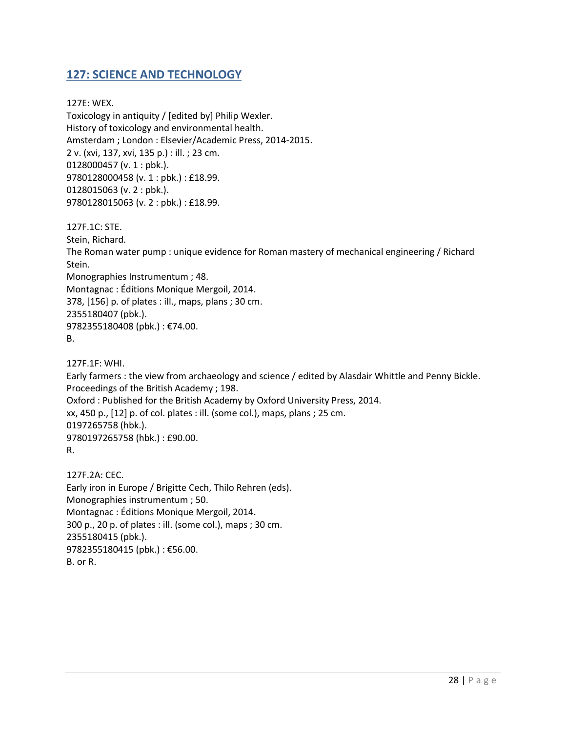# <span id="page-27-0"></span>**127: SCIENCE AND TECHNOLOGY**

127E: WEX. Toxicology in antiquity / [edited by] Philip Wexler. History of toxicology and environmental health. Amsterdam ; London : Elsevier/Academic Press, 2014-2015. 2 v. (xvi, 137, xvi, 135 p.) : ill. ; 23 cm. 0128000457 (v. 1 : pbk.). 9780128000458 (v. 1 : pbk.) : £18.99. 0128015063 (v. 2 : pbk.). 9780128015063 (v. 2 : pbk.) : £18.99.

127F.1C: STE. Stein, Richard. The Roman water pump : unique evidence for Roman mastery of mechanical engineering / Richard Stein. Monographies Instrumentum ; 48. Montagnac : Éditions Monique Mergoil, 2014. 378, [156] p. of plates : ill., maps, plans ; 30 cm. 2355180407 (pbk.). 9782355180408 (pbk.) : €74.00. B.

127F.1F: WHI. Early farmers : the view from archaeology and science / edited by Alasdair Whittle and Penny Bickle. Proceedings of the British Academy ; 198. Oxford : Published for the British Academy by Oxford University Press, 2014. xx, 450 p., [12] p. of col. plates : ill. (some col.), maps, plans ; 25 cm. 0197265758 (hbk.). 9780197265758 (hbk.) : £90.00. R.

127F.2A: CEC. Early iron in Europe / Brigitte Cech, Thilo Rehren (eds). Monographies instrumentum ; 50. Montagnac : Éditions Monique Mergoil, 2014. 300 p., 20 p. of plates : ill. (some col.), maps ; 30 cm. 2355180415 (pbk.). 9782355180415 (pbk.) : €56.00. B. or R.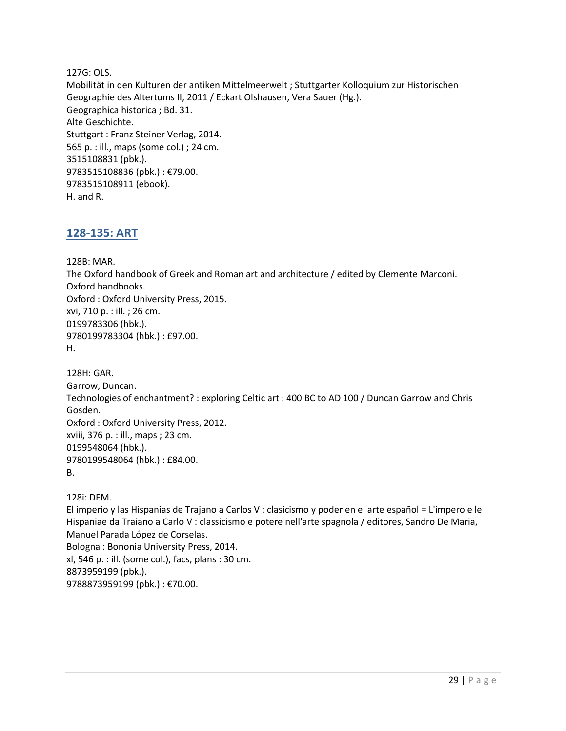127G: OLS. Mobilität in den Kulturen der antiken Mittelmeerwelt ; Stuttgarter Kolloquium zur Historischen Geographie des Altertums II, 2011 / Eckart Olshausen, Vera Sauer (Hg.). Geographica historica ; Bd. 31. Alte Geschichte. Stuttgart : Franz Steiner Verlag, 2014. 565 p. : ill., maps (some col.) ; 24 cm. 3515108831 (pbk.). 9783515108836 (pbk.) : €79.00. 9783515108911 (ebook). H. and R.

#### <span id="page-28-0"></span>**128-135: ART**

128B: MAR.

The Oxford handbook of Greek and Roman art and architecture / edited by Clemente Marconi. Oxford handbooks. Oxford : Oxford University Press, 2015. xvi, 710 p. : ill. ; 26 cm. 0199783306 (hbk.). 9780199783304 (hbk.) : £97.00. H.

128H: GAR. Garrow, Duncan. Technologies of enchantment? : exploring Celtic art : 400 BC to AD 100 / Duncan Garrow and Chris Gosden. Oxford : Oxford University Press, 2012. xviii, 376 p. : ill., maps ; 23 cm. 0199548064 (hbk.). 9780199548064 (hbk.) : £84.00. B.

128i: DEM.

El imperio y las Hispanias de Trajano a Carlos V : clasicismo y poder en el arte español = L'impero e le Hispaniae da Traiano a Carlo V : classicismo e potere nell'arte spagnola / editores, Sandro De Maria, Manuel Parada López de Corselas. Bologna : Bononia University Press, 2014. xl, 546 p. : ill. (some col.), facs, plans : 30 cm. 8873959199 (pbk.).

9788873959199 (pbk.) : €70.00.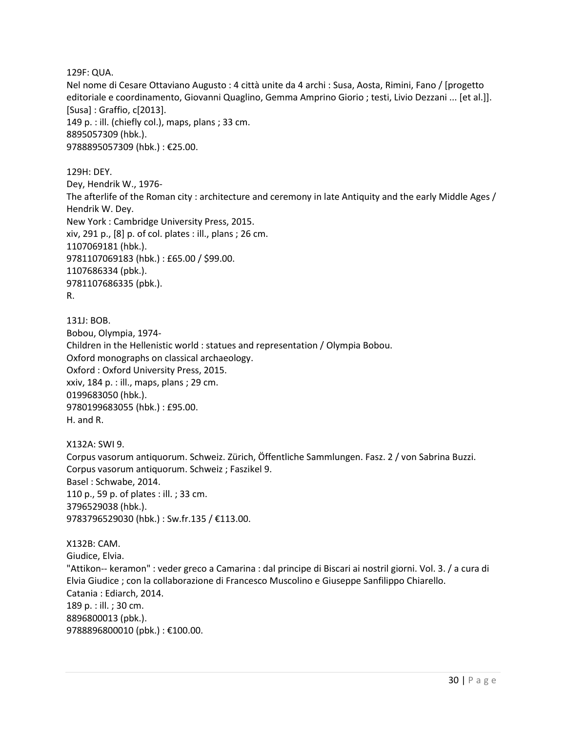129F: QUA.

Nel nome di Cesare Ottaviano Augusto : 4 città unite da 4 archi : Susa, Aosta, Rimini, Fano / [progetto editoriale e coordinamento, Giovanni Quaglino, Gemma Amprino Giorio ; testi, Livio Dezzani ... [et al.]]. [Susa] : Graffio, c[2013]. 149 p. : ill. (chiefly col.), maps, plans ; 33 cm. 8895057309 (hbk.). 9788895057309 (hbk.) : €25.00.

129H: DEY.

Dey, Hendrik W., 1976- The afterlife of the Roman city : architecture and ceremony in late Antiquity and the early Middle Ages / Hendrik W. Dey. New York : Cambridge University Press, 2015. xiv, 291 p., [8] p. of col. plates : ill., plans ; 26 cm. 1107069181 (hbk.). 9781107069183 (hbk.) : £65.00 / \$99.00. 1107686334 (pbk.). 9781107686335 (pbk.). R.

131J: BOB. Bobou, Olympia, 1974- Children in the Hellenistic world : statues and representation / Olympia Bobou. Oxford monographs on classical archaeology. Oxford : Oxford University Press, 2015. xxiv, 184 p. : ill., maps, plans ; 29 cm. 0199683050 (hbk.). 9780199683055 (hbk.) : £95.00. H. and R.

X132A: SWI 9. Corpus vasorum antiquorum. Schweiz. Zürich, Öffentliche Sammlungen. Fasz. 2 / von Sabrina Buzzi. Corpus vasorum antiquorum. Schweiz ; Faszikel 9. Basel : Schwabe, 2014. 110 p., 59 p. of plates : ill. ; 33 cm. 3796529038 (hbk.). 9783796529030 (hbk.) : Sw.fr.135 / €113.00.

X132B: CAM. Giudice, Elvia. "Attikon-- keramon" : veder greco a Camarina : dal principe di Biscari ai nostril giorni. Vol. 3. / a cura di Elvia Giudice ; con la collaborazione di Francesco Muscolino e Giuseppe Sanfilippo Chiarello. Catania : Ediarch, 2014. 189 p. : ill. ; 30 cm. 8896800013 (pbk.). 9788896800010 (pbk.) : €100.00.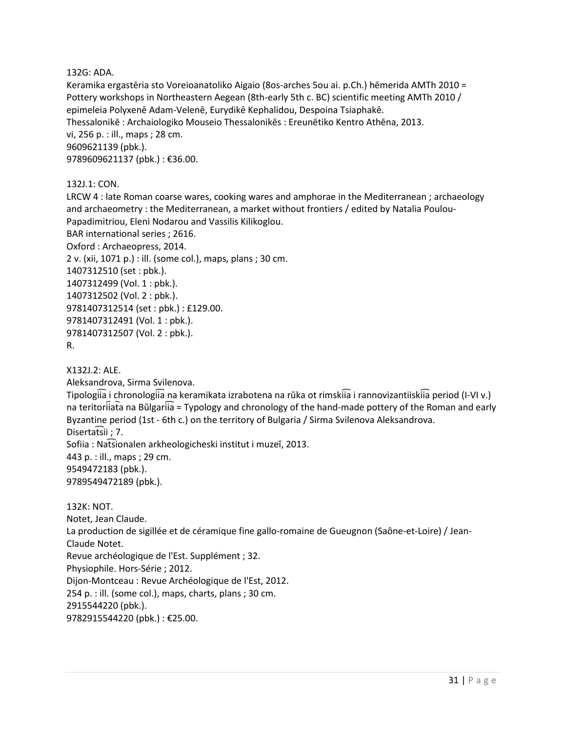132G: ADA.

Keramika ergastēria sto Voreioanatoliko Aigaio (8os-arches 5ou ai. p.Ch.) hēmerida AMTh 2010 = Pottery workshops in Northeastern Aegean (8th-early 5th c. BC) scientific meeting AMTh 2010 / epimeleia Polyxenē Adam-Velenē, Eurydikē Kephalidou, Despoina Tsiaphakē. Thessalonikē : Archaiologiko Mouseio Thessalonikēs : Ereunētiko Kentro Athēna, 2013. vi, 256 p. : ill., maps ; 28 cm. 9609621139 (pbk.). 9789609621137 (pbk.) : €36.00.

132J.1: CON.

LRCW 4 : late Roman coarse wares, cooking wares and amphorae in the Mediterranean ; archaeology and archaeometry : the Mediterranean, a market without frontiers / edited by Natalia Poulou-Papadimitriou, Eleni Nodarou and Vassilis Kilikoglou. BAR international series ; 2616. Oxford : Archaeopress, 2014. 2 v. (xii, 1071 p.) : ill. (some col.), maps, plans ; 30 cm. 1407312510 (set : pbk.). 1407312499 (Vol. 1 : pbk.). 1407312502 (Vol. 2 : pbk.). 9781407312514 (set : pbk.) : £129.00. 9781407312491 (Vol. 1 : pbk.). 9781407312507 (Vol. 2 : pbk.). R.

X132J.2: ALE.

Aleksandrova, Sirma Svilenova.

Tipologiia i chronologiia na keramikata izrabotena na rŭka ot rimskiia i rannovizantiiskiia period (I-VI v.) na teritoriiata na Bŭlgariia = Typology and chronology of the hand-made pottery of the Roman and early Byzantine period (1st - 6th c.) on the territory of Bulgaria / Sirma Svilenova Aleksandrova. Disertatsii; 7. Sofiia : Natsionalen arkheologicheski institut i muzeĭ, 2013. 443 p. : ill., maps ; 29 cm. 9549472183 (pbk.). 9789549472189 (pbk.). 132K: NOT.

Notet, Jean Claude. La production de sigillée et de céramique fine gallo-romaine de Gueugnon (Saône-et-Loire) / Jean-Claude Notet. Revue archéologique de l'Est. Supplément ; 32. Physiophile. Hors-Série ; 2012. Dijon-Montceau : Revue Archéologique de l'Est, 2012. 254 p. : ill. (some col.), maps, charts, plans ; 30 cm. 2915544220 (pbk.). 9782915544220 (pbk.) : €25.00.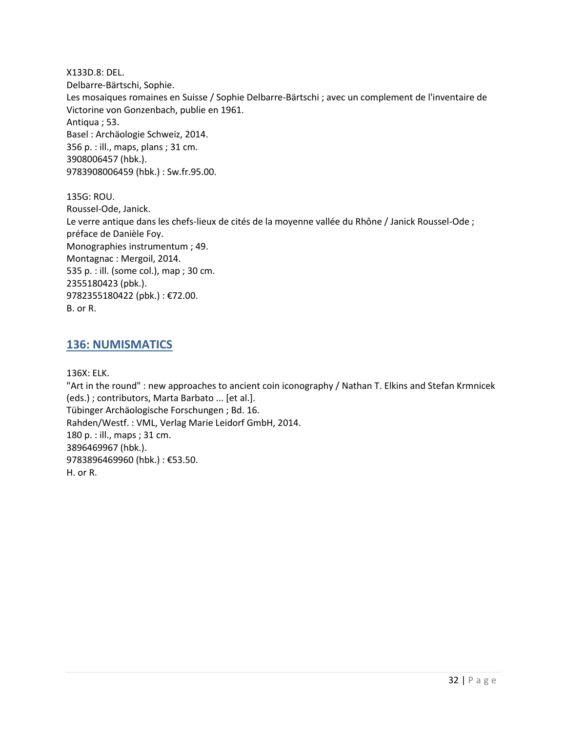X133D.8: DEL. Delbarre-Bärtschi, Sophie. Les mosaiques romaines en Suisse / Sophie Delbarre-Bärtschi ; avec un complement de l'inventaire de Victorine von Gonzenbach, publie en 1961. Antiqua ; 53. Basel : Archäologie Schweiz, 2014. 356 p. : ill., maps, plans ; 31 cm. 3908006457 (hbk.). 9783908006459 (hbk.) : Sw.fr.95.00.

135G: ROU. Roussel-Ode, Janick. Le verre antique dans les chefs-lieux de cités de la moyenne vallée du Rhône / Janick Roussel-Ode ; préface de Danièle Foy. Monographies instrumentum ; 49. Montagnac : Mergoil, 2014. 535 p. : ill. (some col.), map ; 30 cm. 2355180423 (pbk.). 9782355180422 (pbk.) : €72.00. B. or R.

#### <span id="page-31-0"></span>**136: NUMISMATICS**

136X: ELK.

"Art in the round" : new approaches to ancient coin iconography / Nathan T. Elkins and Stefan Krmnicek (eds.) ; contributors, Marta Barbato ... [et al.]. Tübinger Archäologische Forschungen ; Bd. 16. Rahden/Westf. : VML, Verlag Marie Leidorf GmbH, 2014. 180 p. : ill., maps ; 31 cm. 3896469967 (hbk.). 9783896469960 (hbk.) : €53.50. H. or R.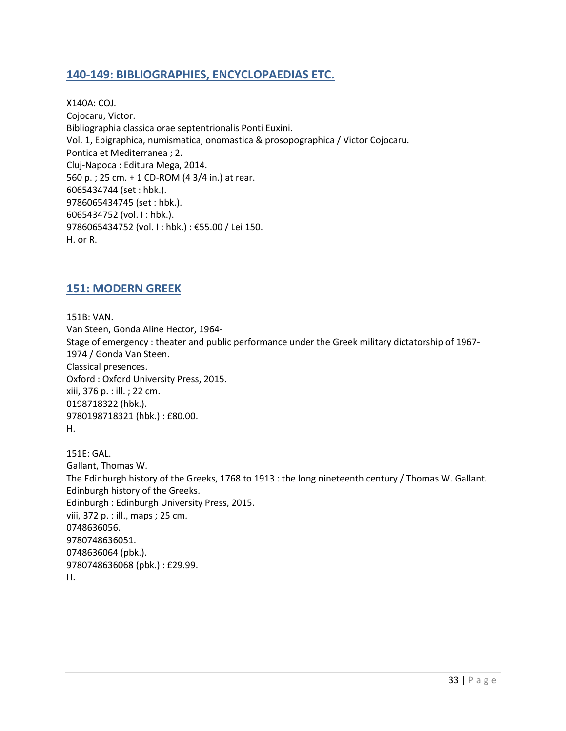# <span id="page-32-0"></span>**140-149: BIBLIOGRAPHIES, ENCYCLOPAEDIAS ETC.**

X140A: COJ. Cojocaru, Victor. Bibliographia classica orae septentrionalis Ponti Euxini. Vol. 1, Epigraphica, numismatica, onomastica & prosopographica / Victor Cojocaru. Pontica et Mediterranea ; 2. Cluj-Napoca : Editura Mega, 2014. 560 p. ; 25 cm. + 1 CD-ROM (4 3/4 in.) at rear. 6065434744 (set : hbk.). 9786065434745 (set : hbk.). 6065434752 (vol. I : hbk.). 9786065434752 (vol. I : hbk.) : €55.00 / Lei 150. H. or R.

#### <span id="page-32-1"></span>**151: MODERN GREEK**

151B: VAN. Van Steen, Gonda Aline Hector, 1964- Stage of emergency : theater and public performance under the Greek military dictatorship of 1967- 1974 / Gonda Van Steen. Classical presences. Oxford : Oxford University Press, 2015. xiii, 376 p. : ill. ; 22 cm. 0198718322 (hbk.). 9780198718321 (hbk.) : £80.00. H.

151E: GAL. Gallant, Thomas W. The Edinburgh history of the Greeks, 1768 to 1913 : the long nineteenth century / Thomas W. Gallant. Edinburgh history of the Greeks. Edinburgh : Edinburgh University Press, 2015. viii, 372 p. : ill., maps ; 25 cm. 0748636056. 9780748636051. 0748636064 (pbk.). 9780748636068 (pbk.) : £29.99. H.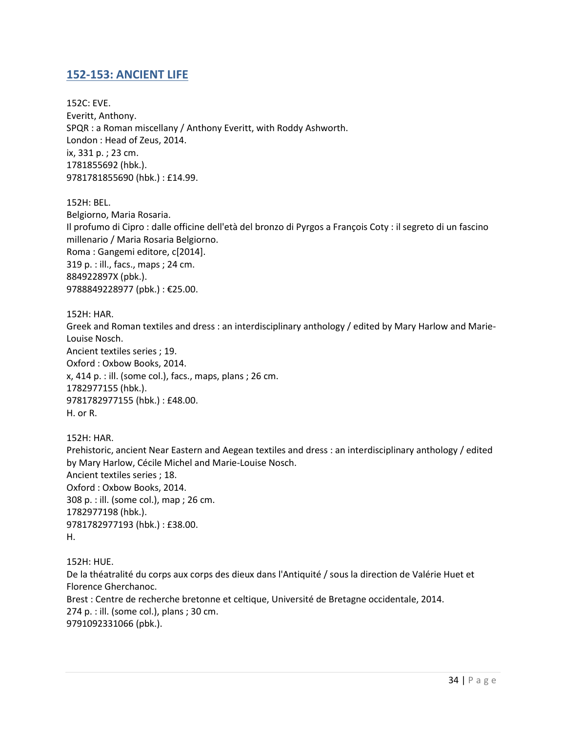#### <span id="page-33-0"></span>**152-153: ANCIENT LIFE**

152C: EVE. Everitt, Anthony. SPQR : a Roman miscellany / Anthony Everitt, with Roddy Ashworth. London : Head of Zeus, 2014. ix, 331 p. ; 23 cm. 1781855692 (hbk.). 9781781855690 (hbk.) : £14.99.

152H: BEL.

Belgiorno, Maria Rosaria. Il profumo di Cipro : dalle officine dell'età del bronzo di Pyrgos a François Coty : il segreto di un fascino millenario / Maria Rosaria Belgiorno. Roma : Gangemi editore, c[2014]. 319 p. : ill., facs., maps ; 24 cm. 884922897X (pbk.). 9788849228977 (pbk.) : €25.00.

152H: HAR.

Greek and Roman textiles and dress : an interdisciplinary anthology / edited by Mary Harlow and Marie-Louise Nosch. Ancient textiles series ; 19. Oxford : Oxbow Books, 2014. x, 414 p. : ill. (some col.), facs., maps, plans ; 26 cm. 1782977155 (hbk.). 9781782977155 (hbk.) : £48.00. H. or R.

152H: HAR.

Prehistoric, ancient Near Eastern and Aegean textiles and dress : an interdisciplinary anthology / edited by Mary Harlow, Cécile Michel and Marie-Louise Nosch. Ancient textiles series ; 18. Oxford : Oxbow Books, 2014. 308 p. : ill. (some col.), map ; 26 cm. 1782977198 (hbk.). 9781782977193 (hbk.) : £38.00. H.

152H: HUE.

De la théatralité du corps aux corps des dieux dans l'Antiquité / sous la direction de Valérie Huet et Florence Gherchanoc.

Brest : Centre de recherche bretonne et celtique, Université de Bretagne occidentale, 2014. 274 p. : ill. (some col.), plans ; 30 cm. 9791092331066 (pbk.).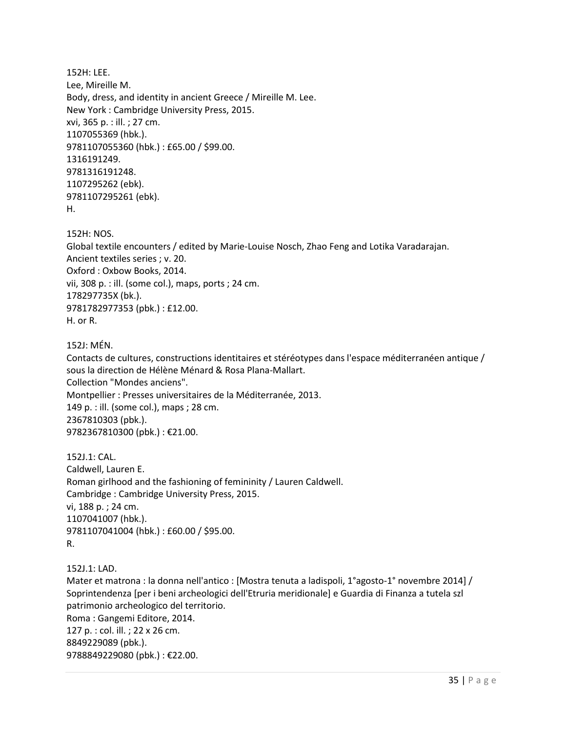152H: LEE. Lee, Mireille M. Body, dress, and identity in ancient Greece / Mireille M. Lee. New York : Cambridge University Press, 2015. xvi, 365 p. : ill. ; 27 cm. 1107055369 (hbk.). 9781107055360 (hbk.) : £65.00 / \$99.00. 1316191249. 9781316191248. 1107295262 (ebk). 9781107295261 (ebk). H.

152H: NOS.

Global textile encounters / edited by Marie-Louise Nosch, Zhao Feng and Lotika Varadarajan. Ancient textiles series ; v. 20. Oxford : Oxbow Books, 2014. vii, 308 p. : ill. (some col.), maps, ports ; 24 cm. 178297735X (bk.). 9781782977353 (pbk.) : £12.00. H. or R.

152J: MÉN.

Contacts de cultures, constructions identitaires et stéréotypes dans l'espace méditerranéen antique / sous la direction de Hélène Ménard & Rosa Plana-Mallart. Collection "Mondes anciens". Montpellier : Presses universitaires de la Méditerranée, 2013. 149 p. : ill. (some col.), maps ; 28 cm. 2367810303 (pbk.). 9782367810300 (pbk.) : €21.00.

152J.1: CAL. Caldwell, Lauren E. Roman girlhood and the fashioning of femininity / Lauren Caldwell. Cambridge : Cambridge University Press, 2015. vi, 188 p. ; 24 cm. 1107041007 (hbk.). 9781107041004 (hbk.) : £60.00 / \$95.00. R.

152J.1: LAD.

Mater et matrona : la donna nell'antico : [Mostra tenuta a ladispoli, 1°agosto-1° novembre 2014] / Soprintendenza [per i beni archeologici dell'Etruria meridionale] e Guardia di Finanza a tutela szl patrimonio archeologico del territorio. Roma : Gangemi Editore, 2014. 127 p. : col. ill. ; 22 x 26 cm. 8849229089 (pbk.). 9788849229080 (pbk.) : €22.00.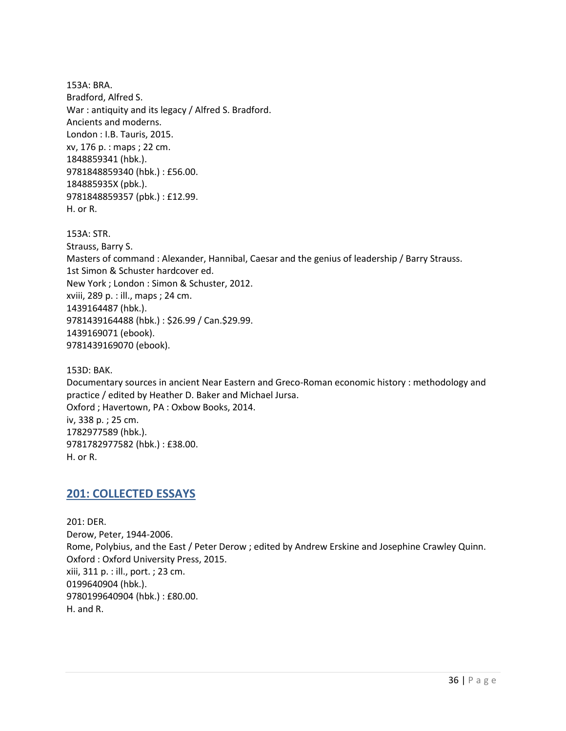153A: BRA. Bradford, Alfred S. War : antiquity and its legacy / Alfred S. Bradford. Ancients and moderns. London : I.B. Tauris, 2015. xv, 176 p. : maps ; 22 cm. 1848859341 (hbk.). 9781848859340 (hbk.) : £56.00. 184885935X (pbk.). 9781848859357 (pbk.) : £12.99. H. or R.

153A: STR. Strauss, Barry S. Masters of command : Alexander, Hannibal, Caesar and the genius of leadership / Barry Strauss. 1st Simon & Schuster hardcover ed. New York ; London : Simon & Schuster, 2012. xviii, 289 p. : ill., maps ; 24 cm. 1439164487 (hbk.). 9781439164488 (hbk.) : \$26.99 / Can.\$29.99. 1439169071 (ebook). 9781439169070 (ebook).

153D: BAK.

Documentary sources in ancient Near Eastern and Greco-Roman economic history : methodology and practice / edited by Heather D. Baker and Michael Jursa. Oxford ; Havertown, PA : Oxbow Books, 2014. iv, 338 p. ; 25 cm. 1782977589 (hbk.). 9781782977582 (hbk.) : £38.00. H. or R.

#### <span id="page-35-0"></span>**201: COLLECTED ESSAYS**

201: DER. Derow, Peter, 1944-2006. Rome, Polybius, and the East / Peter Derow ; edited by Andrew Erskine and Josephine Crawley Quinn. Oxford : Oxford University Press, 2015. xiii, 311 p. : ill., port. ; 23 cm. 0199640904 (hbk.). 9780199640904 (hbk.) : £80.00. H. and R.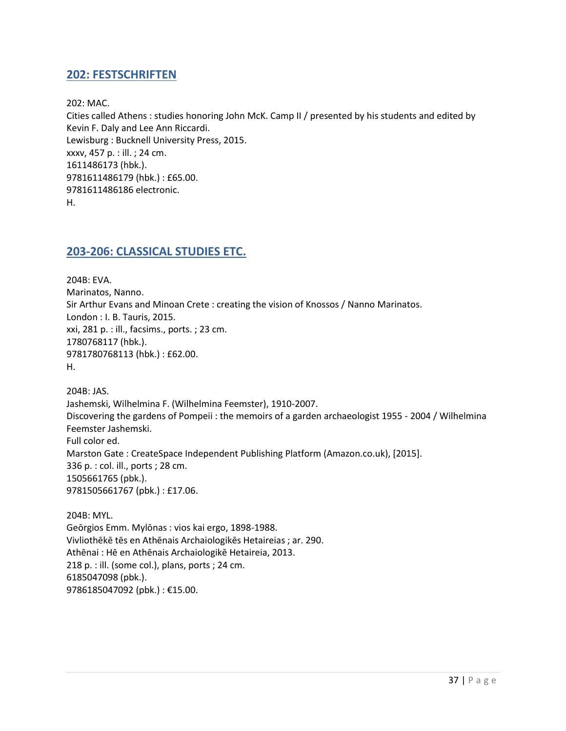#### <span id="page-36-0"></span>**202: FESTSCHRIFTEN**

202: MAC.

Cities called Athens : studies honoring John McK. Camp II / presented by his students and edited by Kevin F. Daly and Lee Ann Riccardi. Lewisburg : Bucknell University Press, 2015. xxxv, 457 p. : ill. ; 24 cm. 1611486173 (hbk.). 9781611486179 (hbk.) : £65.00. 9781611486186 electronic. H.

#### <span id="page-36-1"></span>**203-206: CLASSICAL STUDIES ETC.**

204B: EVA. Marinatos, Nanno. Sir Arthur Evans and Minoan Crete : creating the vision of Knossos / Nanno Marinatos. London : I. B. Tauris, 2015. xxi, 281 p. : ill., facsims., ports. ; 23 cm. 1780768117 (hbk.). 9781780768113 (hbk.) : £62.00. H.

204B: JAS. Jashemski, Wilhelmina F. (Wilhelmina Feemster), 1910-2007. Discovering the gardens of Pompeii : the memoirs of a garden archaeologist 1955 - 2004 / Wilhelmina Feemster Jashemski. Full color ed. Marston Gate : CreateSpace Independent Publishing Platform (Amazon.co.uk), [2015]. 336 p. : col. ill., ports ; 28 cm. 1505661765 (pbk.). 9781505661767 (pbk.) : £17.06.

204B: MYL. Geōrgios Emm. Mylōnas : vios kai ergo, 1898-1988. Vivliothēkē tēs en Athēnais Archaiologikēs Hetaireias ; ar. 290. Athēnai : Hē en Athēnais Archaiologikē Hetaireia, 2013. 218 p. : ill. (some col.), plans, ports ; 24 cm. 6185047098 (pbk.). 9786185047092 (pbk.) : €15.00.